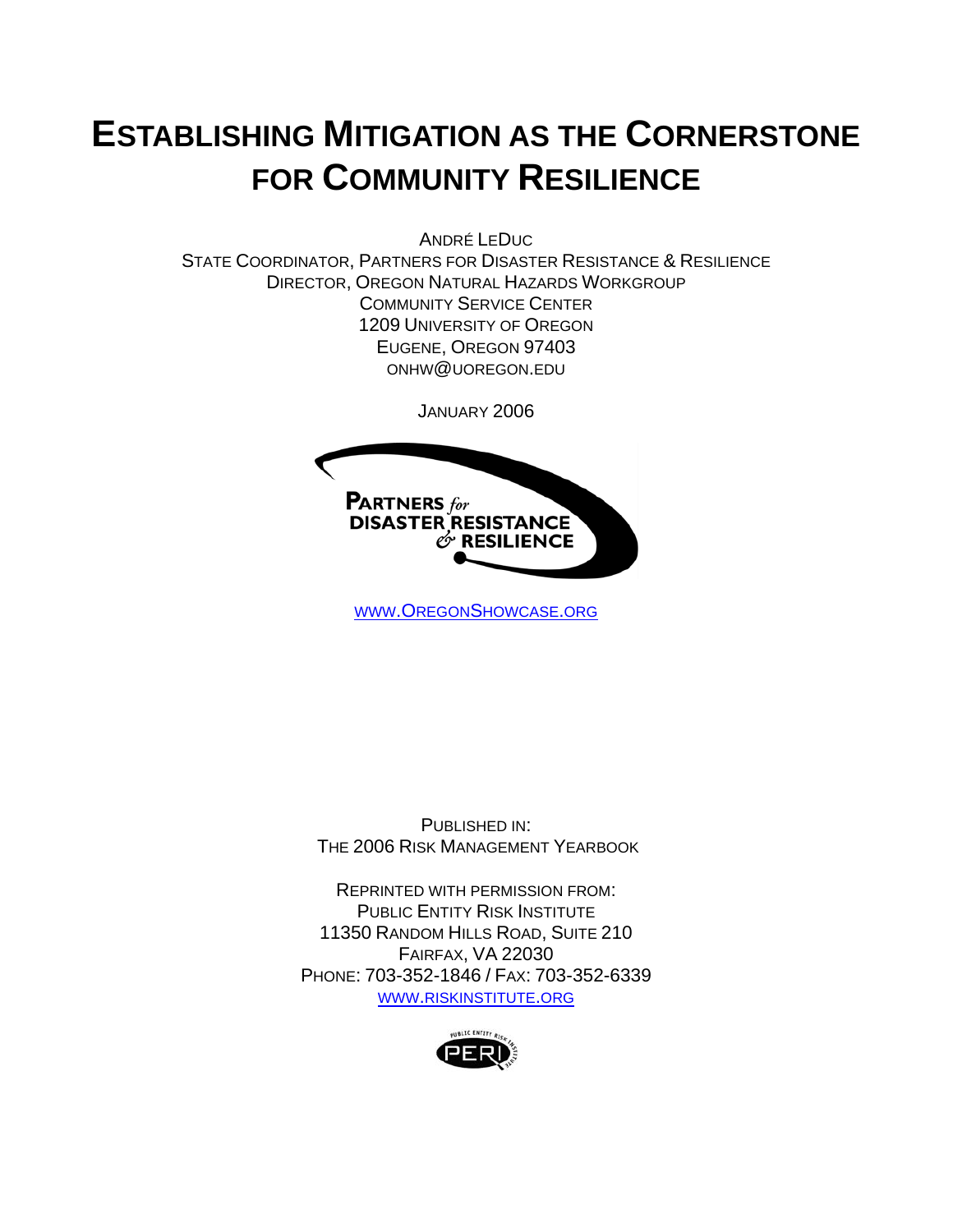# **ESTABLISHING MITIGATION AS THE CORNERSTONE FOR COMMUNITY RESILIENCE**

ANDRÉ LEDUC

STATE COORDINATOR, PARTNERS FOR DISASTER RESISTANCE & RESILIENCE DIRECTOR, OREGON NATURAL HAZARDS WORKGROUP COMMUNITY SERVICE CENTER 1209 UNIVERSITY OF OREGON EUGENE, OREGON 97403 ONHW@UOREGON.EDU

JANUARY 2006



WWW.OREGONSHOWCASE.ORG

PUBLISHED IN: THE 2006 RISK MANAGEMENT YEARBOOK

REPRINTED WITH PERMISSION FROM: PUBLIC ENTITY RISK INSTITUTE 11350 RANDOM HILLS ROAD, SUITE 210 FAIRFAX, VA 22030 PHONE: 703-352-1846 / FAX: 703-352-6339 WWW.RISKINSTITUTE.ORG

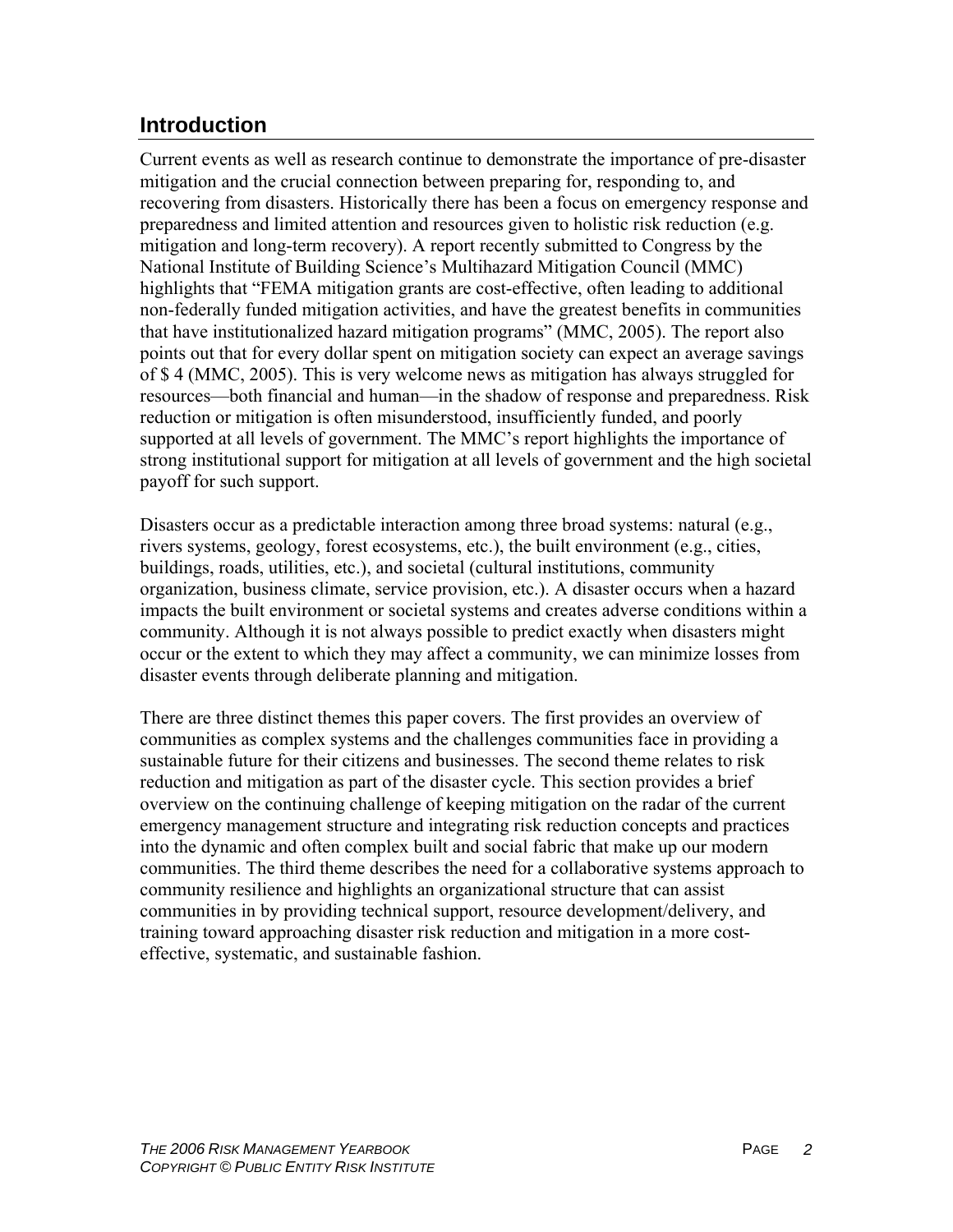# **Introduction**

Current events as well as research continue to demonstrate the importance of pre-disaster mitigation and the crucial connection between preparing for, responding to, and recovering from disasters. Historically there has been a focus on emergency response and preparedness and limited attention and resources given to holistic risk reduction (e.g. mitigation and long-term recovery). A report recently submitted to Congress by the National Institute of Building Science's Multihazard Mitigation Council (MMC) highlights that "FEMA mitigation grants are cost-effective, often leading to additional non-federally funded mitigation activities, and have the greatest benefits in communities that have institutionalized hazard mitigation programs" (MMC, 2005). The report also points out that for every dollar spent on mitigation society can expect an average savings of \$ 4 (MMC, 2005). This is very welcome news as mitigation has always struggled for resources—both financial and human—in the shadow of response and preparedness. Risk reduction or mitigation is often misunderstood, insufficiently funded, and poorly supported at all levels of government. The MMC's report highlights the importance of strong institutional support for mitigation at all levels of government and the high societal payoff for such support.

Disasters occur as a predictable interaction among three broad systems: natural (e.g., rivers systems, geology, forest ecosystems, etc.), the built environment (e.g., cities, buildings, roads, utilities, etc.), and societal (cultural institutions, community organization, business climate, service provision, etc.). A disaster occurs when a hazard impacts the built environment or societal systems and creates adverse conditions within a community. Although it is not always possible to predict exactly when disasters might occur or the extent to which they may affect a community, we can minimize losses from disaster events through deliberate planning and mitigation.

There are three distinct themes this paper covers. The first provides an overview of communities as complex systems and the challenges communities face in providing a sustainable future for their citizens and businesses. The second theme relates to risk reduction and mitigation as part of the disaster cycle. This section provides a brief overview on the continuing challenge of keeping mitigation on the radar of the current emergency management structure and integrating risk reduction concepts and practices into the dynamic and often complex built and social fabric that make up our modern communities. The third theme describes the need for a collaborative systems approach to community resilience and highlights an organizational structure that can assist communities in by providing technical support, resource development/delivery, and training toward approaching disaster risk reduction and mitigation in a more costeffective, systematic, and sustainable fashion.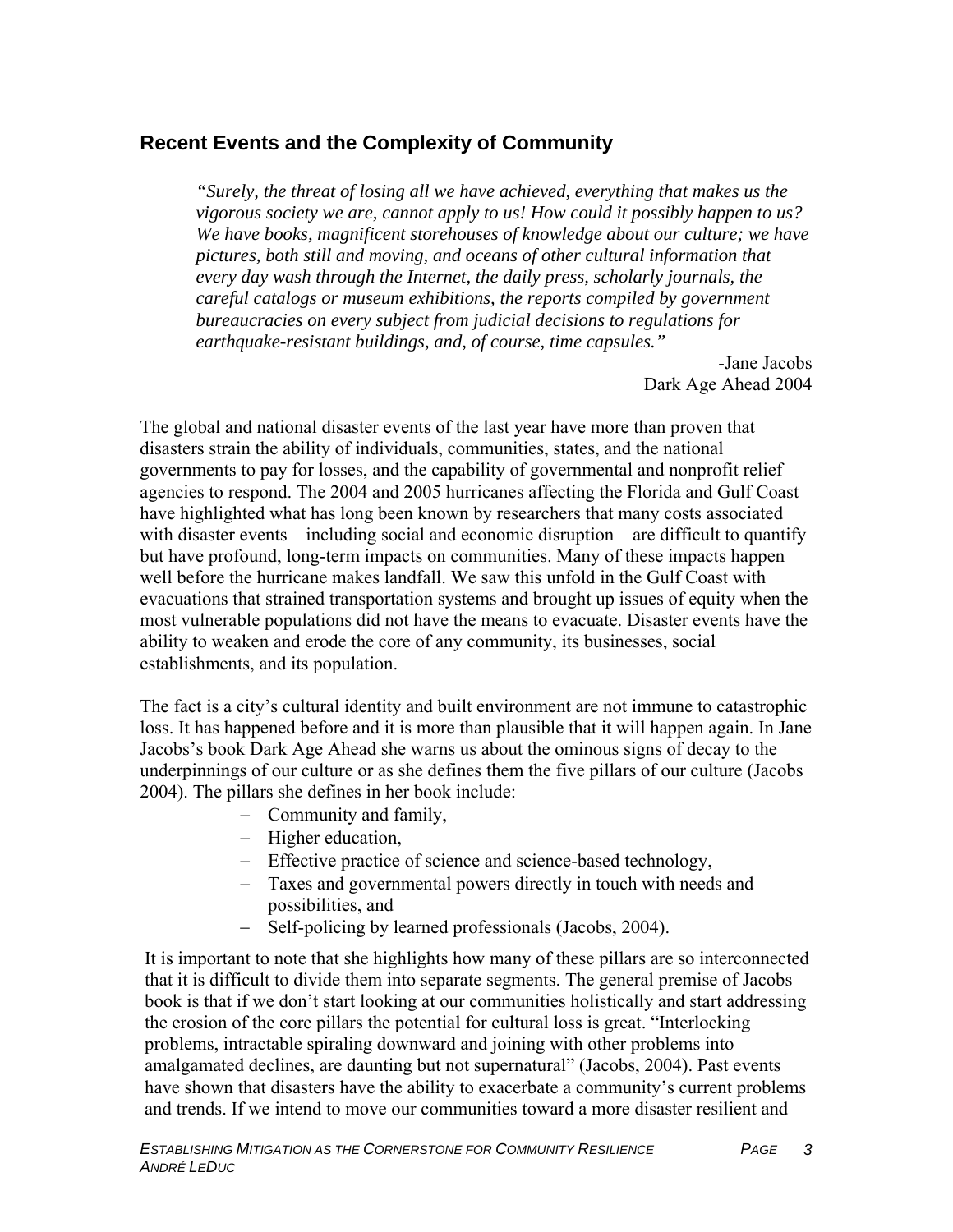## **Recent Events and the Complexity of Community**

*"Surely, the threat of losing all we have achieved, everything that makes us the vigorous society we are, cannot apply to us! How could it possibly happen to us? We have books, magnificent storehouses of knowledge about our culture; we have pictures, both still and moving, and oceans of other cultural information that every day wash through the Internet, the daily press, scholarly journals, the careful catalogs or museum exhibitions, the reports compiled by government bureaucracies on every subject from judicial decisions to regulations for earthquake-resistant buildings, and, of course, time capsules."* 

> -Jane Jacobs Dark Age Ahead 2004

The global and national disaster events of the last year have more than proven that disasters strain the ability of individuals, communities, states, and the national governments to pay for losses, and the capability of governmental and nonprofit relief agencies to respond. The 2004 and 2005 hurricanes affecting the Florida and Gulf Coast have highlighted what has long been known by researchers that many costs associated with disaster events—including social and economic disruption—are difficult to quantify but have profound, long-term impacts on communities. Many of these impacts happen well before the hurricane makes landfall. We saw this unfold in the Gulf Coast with evacuations that strained transportation systems and brought up issues of equity when the most vulnerable populations did not have the means to evacuate. Disaster events have the ability to weaken and erode the core of any community, its businesses, social establishments, and its population.

The fact is a city's cultural identity and built environment are not immune to catastrophic loss. It has happened before and it is more than plausible that it will happen again. In Jane Jacobs's book Dark Age Ahead she warns us about the ominous signs of decay to the underpinnings of our culture or as she defines them the five pillars of our culture (Jacobs 2004). The pillars she defines in her book include:

- − Community and family,
- − Higher education,
- − Effective practice of science and science-based technology,
- − Taxes and governmental powers directly in touch with needs and possibilities, and
- − Self-policing by learned professionals (Jacobs, 2004).

It is important to note that she highlights how many of these pillars are so interconnected that it is difficult to divide them into separate segments. The general premise of Jacobs book is that if we don't start looking at our communities holistically and start addressing the erosion of the core pillars the potential for cultural loss is great. "Interlocking problems, intractable spiraling downward and joining with other problems into amalgamated declines, are daunting but not supernatural" (Jacobs, 2004). Past events have shown that disasters have the ability to exacerbate a community's current problems and trends. If we intend to move our communities toward a more disaster resilient and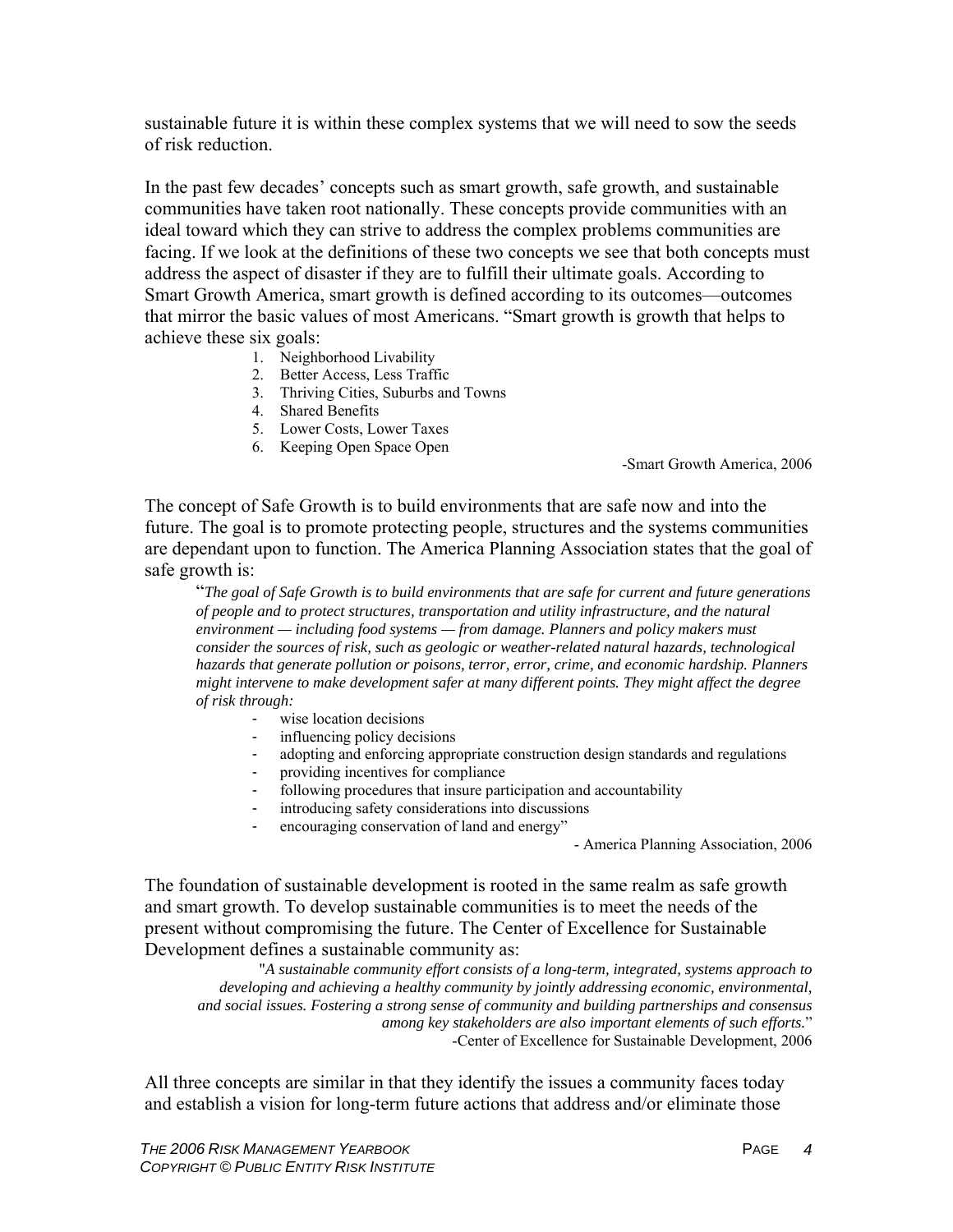sustainable future it is within these complex systems that we will need to sow the seeds of risk reduction.

In the past few decades' concepts such as smart growth, safe growth, and sustainable communities have taken root nationally. These concepts provide communities with an ideal toward which they can strive to address the complex problems communities are facing. If we look at the definitions of these two concepts we see that both concepts must address the aspect of disaster if they are to fulfill their ultimate goals. According to Smart Growth America, smart growth is defined according to its outcomes—outcomes that mirror the basic values of most Americans. "Smart growth is growth that helps to achieve these six goals:

- 1. Neighborhood Livability
- 2. Better Access, Less Traffic
- 3. Thriving Cities, Suburbs and Towns
- 4. Shared Benefits
- 5. Lower Costs, Lower Taxes
- 6. Keeping Open Space Open

-Smart Growth America, 2006

The concept of Safe Growth is to build environments that are safe now and into the future. The goal is to promote protecting people, structures and the systems communities are dependant upon to function. The America Planning Association states that the goal of safe growth is:

"*The goal of Safe Growth is to build environments that are safe for current and future generations of people and to protect structures, transportation and utility infrastructure, and the natural environment — including food systems — from damage. Planners and policy makers must consider the sources of risk, such as geologic or weather-related natural hazards, technological hazards that generate pollution or poisons, terror, error, crime, and economic hardship. Planners might intervene to make development safer at many different points. They might affect the degree of risk through:* 

- wise location decisions
- influencing policy decisions
- adopting and enforcing appropriate construction design standards and regulations
- providing incentives for compliance
- following procedures that insure participation and accountability
- introducing safety considerations into discussions
- encouraging conservation of land and energy"

- America Planning Association, 2006

The foundation of sustainable development is rooted in the same realm as safe growth and smart growth. To develop sustainable communities is to meet the needs of the present without compromising the future. The Center of Excellence for Sustainable Development defines a sustainable community as: "*A sustainable community effort consists of a long-term, integrated, systems approach to* 

*developing and achieving a healthy community by jointly addressing economic, environmental, and social issues. Fostering a strong sense of community and building partnerships and consensus among key stakeholders are also important elements of such efforts.*" -Center of Excellence for Sustainable Development, 2006

All three concepts are similar in that they identify the issues a community faces today and establish a vision for long-term future actions that address and/or eliminate those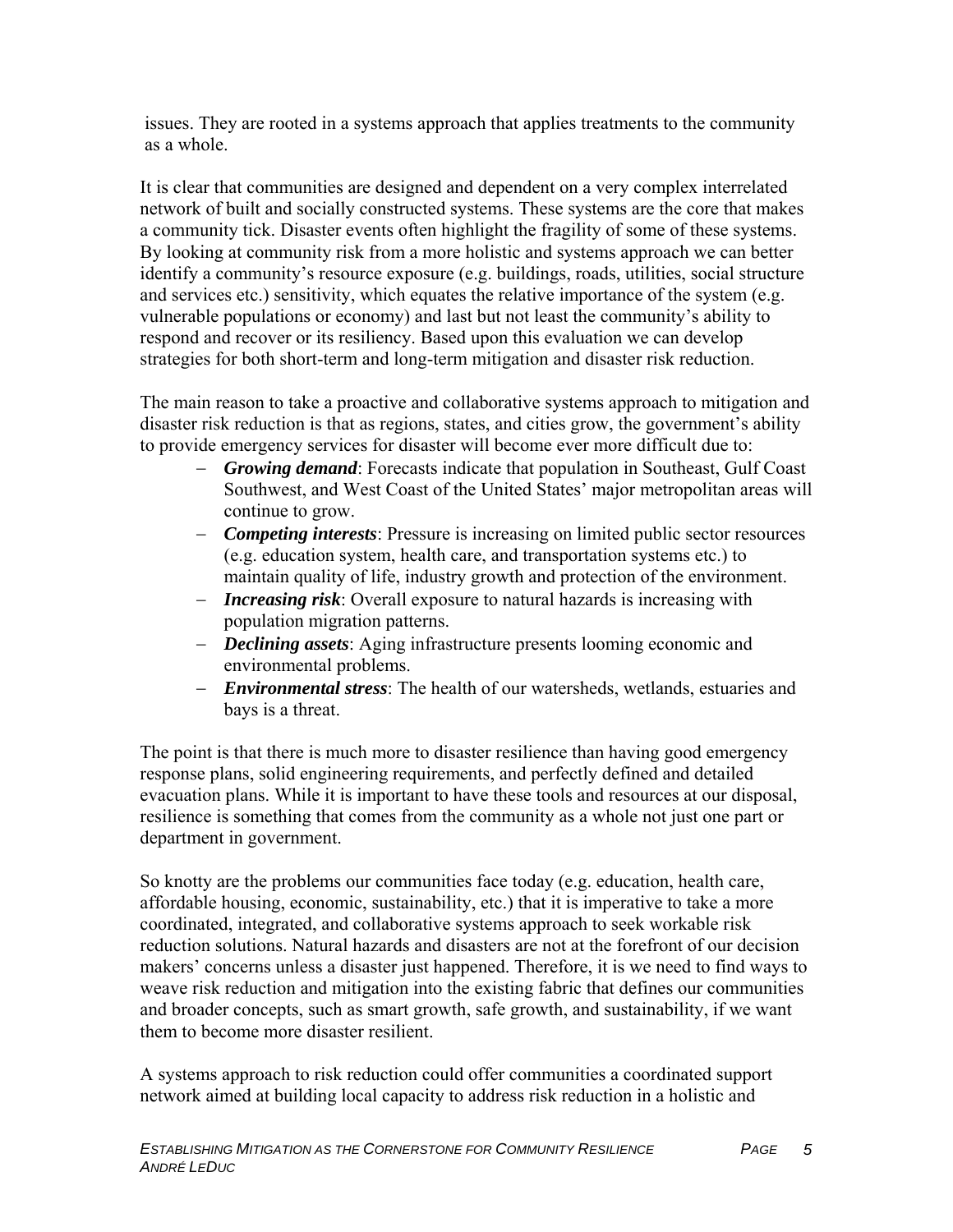issues. They are rooted in a systems approach that applies treatments to the community as a whole.

It is clear that communities are designed and dependent on a very complex interrelated network of built and socially constructed systems. These systems are the core that makes a community tick. Disaster events often highlight the fragility of some of these systems. By looking at community risk from a more holistic and systems approach we can better identify a community's resource exposure (e.g. buildings, roads, utilities, social structure and services etc.) sensitivity, which equates the relative importance of the system (e.g. vulnerable populations or economy) and last but not least the community's ability to respond and recover or its resiliency. Based upon this evaluation we can develop strategies for both short-term and long-term mitigation and disaster risk reduction.

The main reason to take a proactive and collaborative systems approach to mitigation and disaster risk reduction is that as regions, states, and cities grow, the government's ability to provide emergency services for disaster will become ever more difficult due to:

- − *Growing demand*: Forecasts indicate that population in Southeast, Gulf Coast Southwest, and West Coast of the United States' major metropolitan areas will continue to grow.
- − *Competing interests*: Pressure is increasing on limited public sector resources (e.g. education system, health care, and transportation systems etc.) to maintain quality of life, industry growth and protection of the environment.
- − *Increasing risk*: Overall exposure to natural hazards is increasing with population migration patterns.
- − *Declining assets*: Aging infrastructure presents looming economic and environmental problems.
- − *Environmental stress*: The health of our watersheds, wetlands, estuaries and bays is a threat.

The point is that there is much more to disaster resilience than having good emergency response plans, solid engineering requirements, and perfectly defined and detailed evacuation plans. While it is important to have these tools and resources at our disposal, resilience is something that comes from the community as a whole not just one part or department in government.

So knotty are the problems our communities face today (e.g. education, health care, affordable housing, economic, sustainability, etc.) that it is imperative to take a more coordinated, integrated, and collaborative systems approach to seek workable risk reduction solutions. Natural hazards and disasters are not at the forefront of our decision makers' concerns unless a disaster just happened. Therefore, it is we need to find ways to weave risk reduction and mitigation into the existing fabric that defines our communities and broader concepts, such as smart growth, safe growth, and sustainability, if we want them to become more disaster resilient.

A systems approach to risk reduction could offer communities a coordinated support network aimed at building local capacity to address risk reduction in a holistic and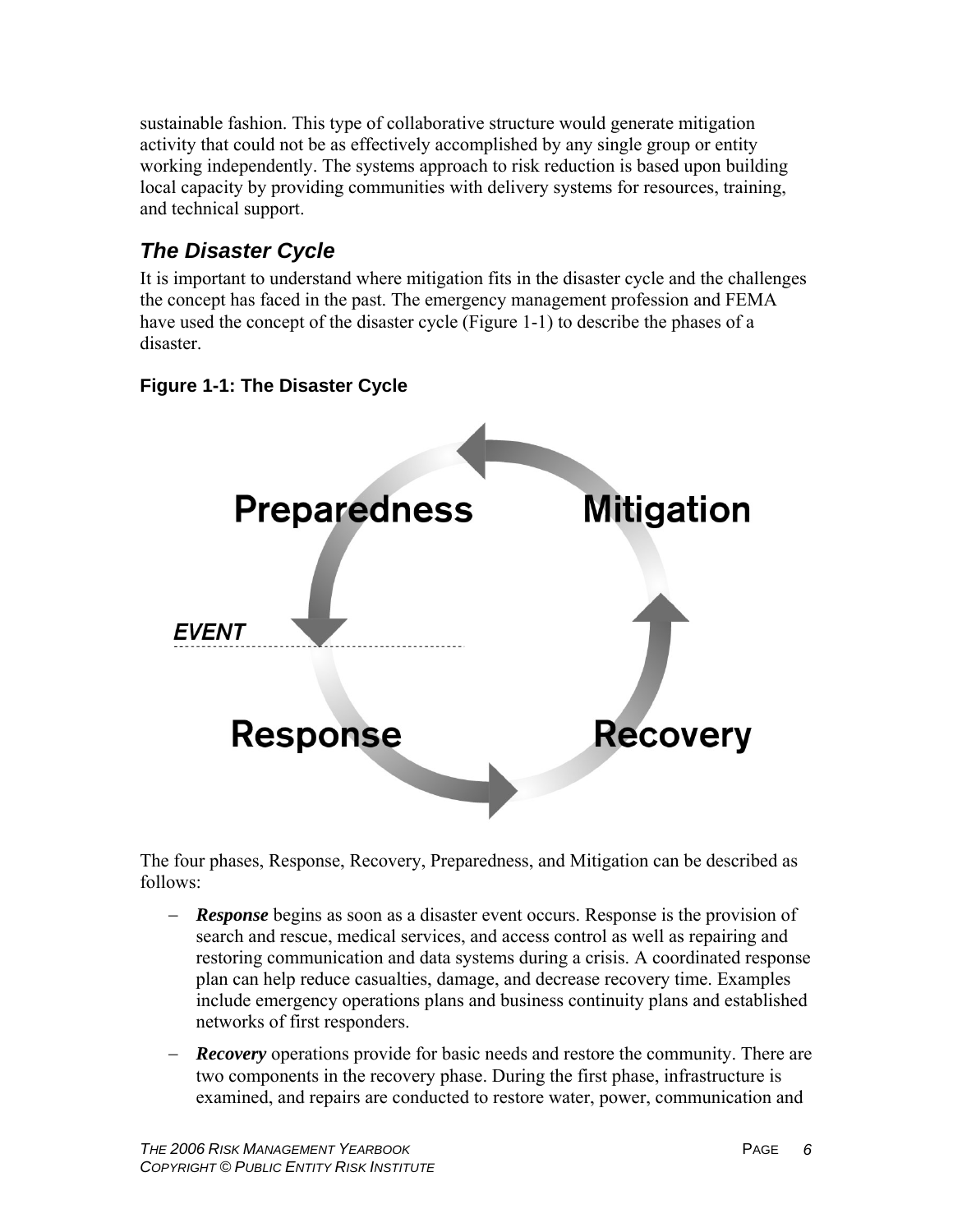sustainable fashion. This type of collaborative structure would generate mitigation activity that could not be as effectively accomplished by any single group or entity working independently. The systems approach to risk reduction is based upon building local capacity by providing communities with delivery systems for resources, training, and technical support.

# *The Disaster Cycle*

It is important to understand where mitigation fits in the disaster cycle and the challenges the concept has faced in the past. The emergency management profession and FEMA have used the concept of the disaster cycle (Figure 1-1) to describe the phases of a disaster.

## **Figure 1-1: The Disaster Cycle**



The four phases, Response, Recovery, Preparedness, and Mitigation can be described as follows:

- − *Response* begins as soon as a disaster event occurs. Response is the provision of search and rescue, medical services, and access control as well as repairing and restoring communication and data systems during a crisis. A coordinated response plan can help reduce casualties, damage, and decrease recovery time. Examples include emergency operations plans and business continuity plans and established networks of first responders.
- − *Recovery* operations provide for basic needs and restore the community. There are two components in the recovery phase. During the first phase, infrastructure is examined, and repairs are conducted to restore water, power, communication and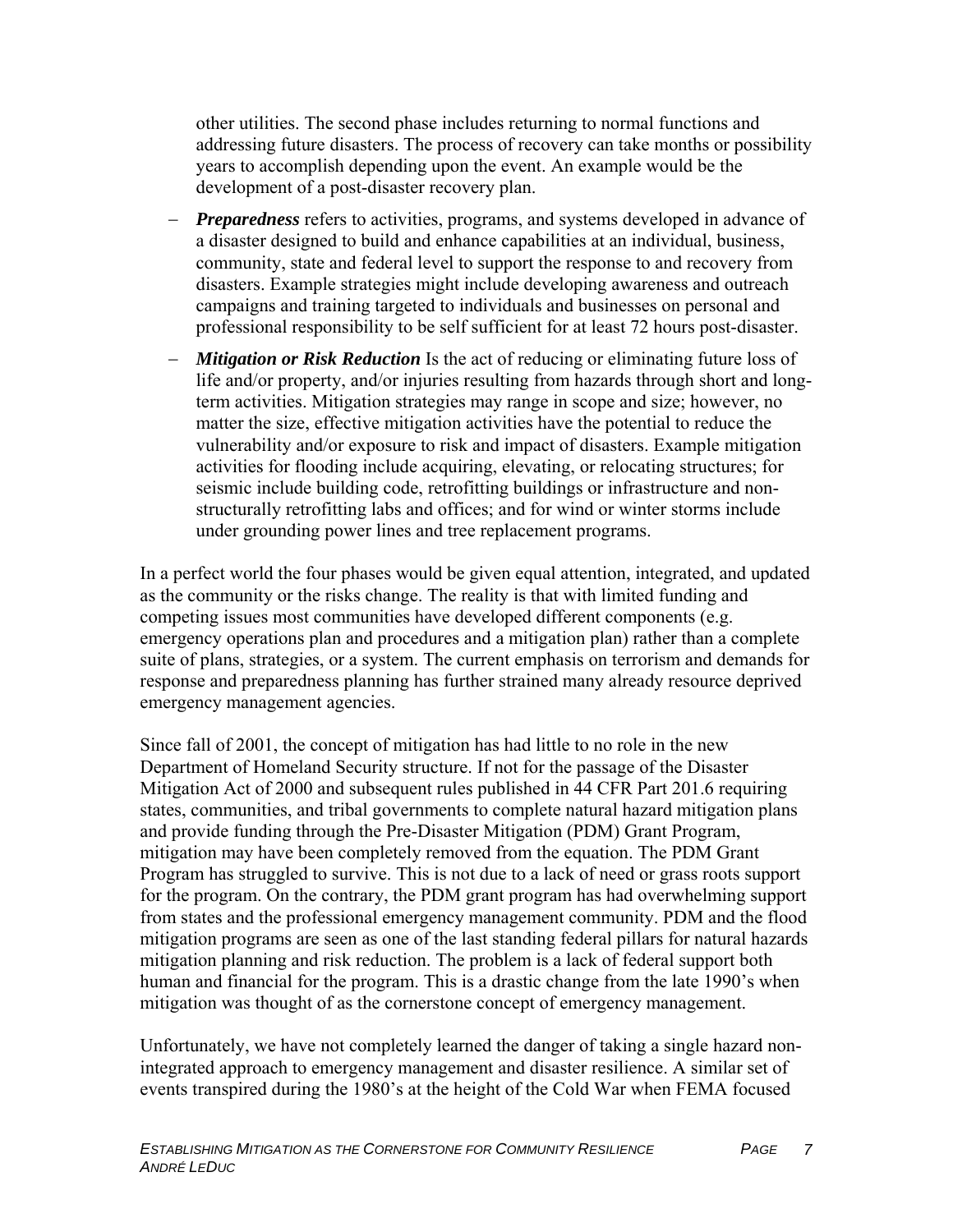other utilities. The second phase includes returning to normal functions and addressing future disasters. The process of recovery can take months or possibility years to accomplish depending upon the event. An example would be the development of a post-disaster recovery plan.

- − *Preparedness* refers to activities, programs, and systems developed in advance of a disaster designed to build and enhance capabilities at an individual, business, community, state and federal level to support the response to and recovery from disasters. Example strategies might include developing awareness and outreach campaigns and training targeted to individuals and businesses on personal and professional responsibility to be self sufficient for at least 72 hours post-disaster.
- *Mitigation or Risk Reduction* Is the act of reducing or eliminating future loss of life and/or property, and/or injuries resulting from hazards through short and longterm activities. Mitigation strategies may range in scope and size; however, no matter the size, effective mitigation activities have the potential to reduce the vulnerability and/or exposure to risk and impact of disasters. Example mitigation activities for flooding include acquiring, elevating, or relocating structures; for seismic include building code, retrofitting buildings or infrastructure and nonstructurally retrofitting labs and offices; and for wind or winter storms include under grounding power lines and tree replacement programs.

In a perfect world the four phases would be given equal attention, integrated, and updated as the community or the risks change. The reality is that with limited funding and competing issues most communities have developed different components (e.g. emergency operations plan and procedures and a mitigation plan) rather than a complete suite of plans, strategies, or a system. The current emphasis on terrorism and demands for response and preparedness planning has further strained many already resource deprived emergency management agencies.

Since fall of 2001, the concept of mitigation has had little to no role in the new Department of Homeland Security structure. If not for the passage of the Disaster Mitigation Act of 2000 and subsequent rules published in 44 CFR Part 201.6 requiring states, communities, and tribal governments to complete natural hazard mitigation plans and provide funding through the Pre-Disaster Mitigation (PDM) Grant Program, mitigation may have been completely removed from the equation. The PDM Grant Program has struggled to survive. This is not due to a lack of need or grass roots support for the program. On the contrary, the PDM grant program has had overwhelming support from states and the professional emergency management community. PDM and the flood mitigation programs are seen as one of the last standing federal pillars for natural hazards mitigation planning and risk reduction. The problem is a lack of federal support both human and financial for the program. This is a drastic change from the late 1990's when mitigation was thought of as the cornerstone concept of emergency management.

Unfortunately, we have not completely learned the danger of taking a single hazard nonintegrated approach to emergency management and disaster resilience. A similar set of events transpired during the 1980's at the height of the Cold War when FEMA focused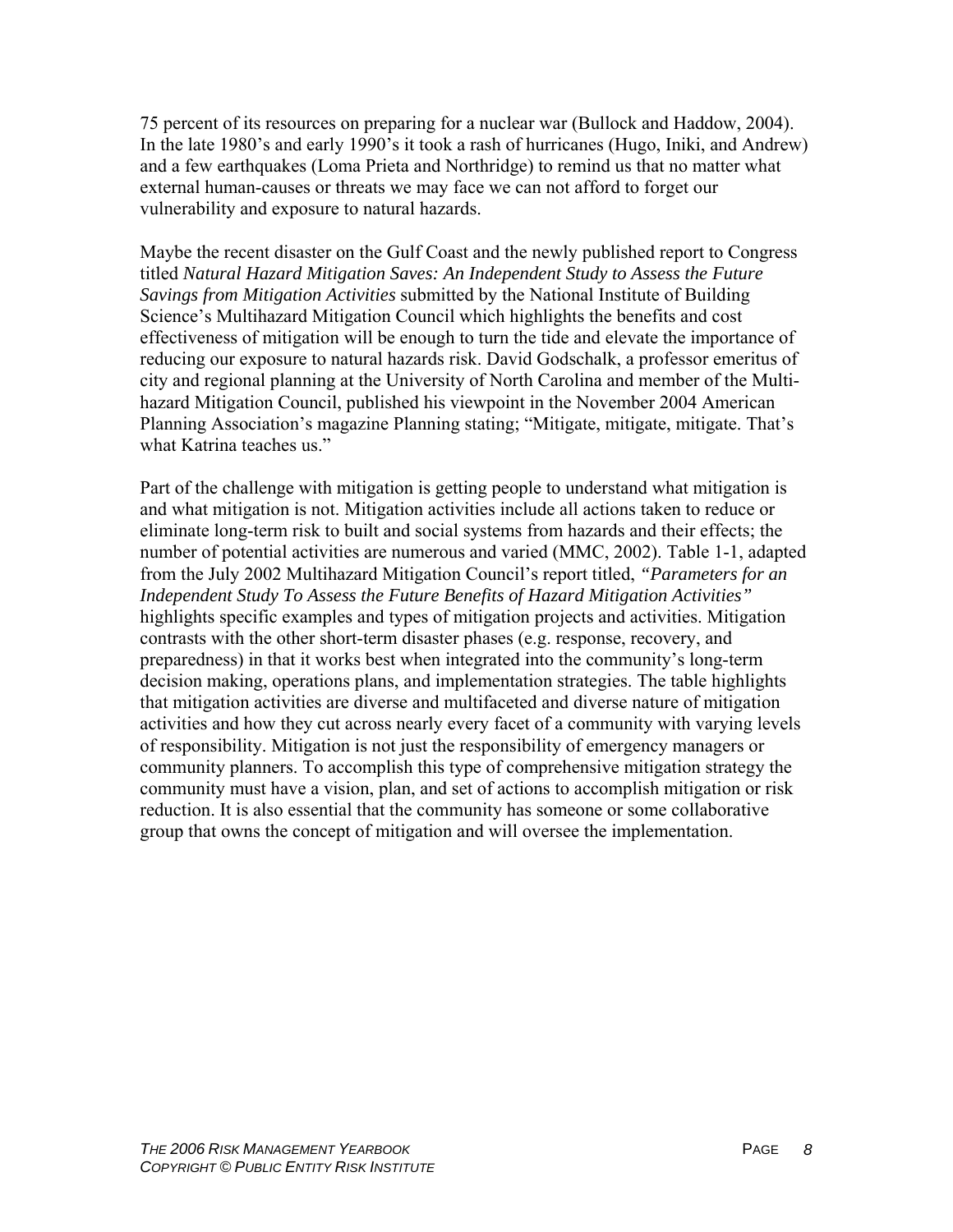75 percent of its resources on preparing for a nuclear war (Bullock and Haddow, 2004). In the late 1980's and early 1990's it took a rash of hurricanes (Hugo, Iniki, and Andrew) and a few earthquakes (Loma Prieta and Northridge) to remind us that no matter what external human-causes or threats we may face we can not afford to forget our vulnerability and exposure to natural hazards.

Maybe the recent disaster on the Gulf Coast and the newly published report to Congress titled *Natural Hazard Mitigation Saves: An Independent Study to Assess the Future Savings from Mitigation Activities* submitted by the National Institute of Building Science's Multihazard Mitigation Council which highlights the benefits and cost effectiveness of mitigation will be enough to turn the tide and elevate the importance of reducing our exposure to natural hazards risk. David Godschalk, a professor emeritus of city and regional planning at the University of North Carolina and member of the Multihazard Mitigation Council, published his viewpoint in the November 2004 American Planning Association's magazine Planning stating; "Mitigate, mitigate, mitigate. That's what Katrina teaches us."

Part of the challenge with mitigation is getting people to understand what mitigation is and what mitigation is not. Mitigation activities include all actions taken to reduce or eliminate long-term risk to built and social systems from hazards and their effects; the number of potential activities are numerous and varied (MMC, 2002). Table 1-1, adapted from the July 2002 Multihazard Mitigation Council's report titled, *"Parameters for an Independent Study To Assess the Future Benefits of Hazard Mitigation Activities"* highlights specific examples and types of mitigation projects and activities. Mitigation contrasts with the other short-term disaster phases (e.g. response, recovery, and preparedness) in that it works best when integrated into the community's long-term decision making, operations plans, and implementation strategies. The table highlights that mitigation activities are diverse and multifaceted and diverse nature of mitigation activities and how they cut across nearly every facet of a community with varying levels of responsibility. Mitigation is not just the responsibility of emergency managers or community planners. To accomplish this type of comprehensive mitigation strategy the community must have a vision, plan, and set of actions to accomplish mitigation or risk reduction. It is also essential that the community has someone or some collaborative group that owns the concept of mitigation and will oversee the implementation.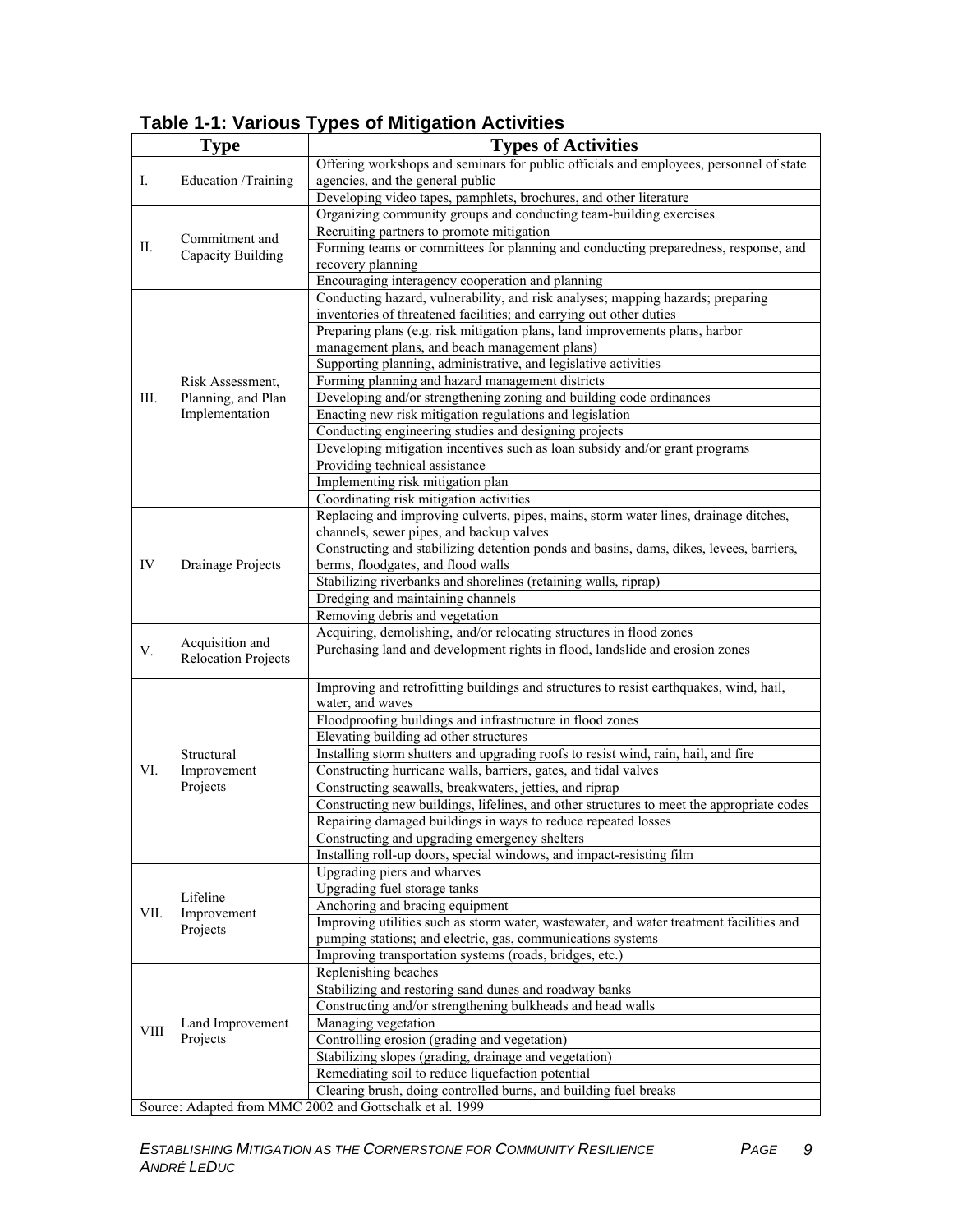# **Table 1-1: Various Types of Mitigation Activities**

|                                                          | <b>Type</b>                                              | <b>Types of Activities</b>                                                                                                    |
|----------------------------------------------------------|----------------------------------------------------------|-------------------------------------------------------------------------------------------------------------------------------|
| Ι.                                                       | Education /Training                                      | Offering workshops and seminars for public officials and employees, personnel of state                                        |
|                                                          |                                                          | agencies, and the general public                                                                                              |
|                                                          |                                                          | Developing video tapes, pamphlets, brochures, and other literature                                                            |
| П.                                                       | Commitment and<br>Capacity Building                      | Organizing community groups and conducting team-building exercises                                                            |
|                                                          |                                                          | Recruiting partners to promote mitigation                                                                                     |
|                                                          |                                                          | Forming teams or committees for planning and conducting preparedness, response, and                                           |
|                                                          |                                                          | recovery planning                                                                                                             |
|                                                          |                                                          | Encouraging interagency cooperation and planning                                                                              |
| III.                                                     | Risk Assessment,<br>Planning, and Plan<br>Implementation | Conducting hazard, vulnerability, and risk analyses; mapping hazards; preparing                                               |
|                                                          |                                                          | inventories of threatened facilities; and carrying out other duties                                                           |
|                                                          |                                                          | Preparing plans (e.g. risk mitigation plans, land improvements plans, harbor                                                  |
|                                                          |                                                          | management plans, and beach management plans)                                                                                 |
|                                                          |                                                          | Supporting planning, administrative, and legislative activities                                                               |
|                                                          |                                                          | Forming planning and hazard management districts                                                                              |
|                                                          |                                                          | Developing and/or strengthening zoning and building code ordinances                                                           |
|                                                          |                                                          | Enacting new risk mitigation regulations and legislation                                                                      |
|                                                          |                                                          | Conducting engineering studies and designing projects                                                                         |
|                                                          |                                                          | Developing mitigation incentives such as loan subsidy and/or grant programs                                                   |
|                                                          |                                                          | Providing technical assistance                                                                                                |
|                                                          |                                                          | Implementing risk mitigation plan                                                                                             |
|                                                          |                                                          | Coordinating risk mitigation activities                                                                                       |
| IV                                                       | Drainage Projects                                        | Replacing and improving culverts, pipes, mains, storm water lines, drainage ditches,                                          |
|                                                          |                                                          | channels, sewer pipes, and backup valves                                                                                      |
|                                                          |                                                          | Constructing and stabilizing detention ponds and basins, dams, dikes, levees, barriers,<br>berms, floodgates, and flood walls |
|                                                          |                                                          | Stabilizing riverbanks and shorelines (retaining walls, riprap)                                                               |
|                                                          |                                                          | Dredging and maintaining channels                                                                                             |
|                                                          |                                                          | Removing debris and vegetation                                                                                                |
|                                                          |                                                          | Acquiring, demolishing, and/or relocating structures in flood zones                                                           |
| V.                                                       | Acquisition and                                          | Purchasing land and development rights in flood, landslide and erosion zones                                                  |
|                                                          | <b>Relocation Projects</b>                               |                                                                                                                               |
| VI.                                                      | Structural<br>Improvement<br>Projects                    | Improving and retrofitting buildings and structures to resist earthquakes, wind, hail,                                        |
|                                                          |                                                          | water, and waves                                                                                                              |
|                                                          |                                                          | Floodproofing buildings and infrastructure in flood zones                                                                     |
|                                                          |                                                          | Elevating building ad other structures                                                                                        |
|                                                          |                                                          | Installing storm shutters and upgrading roofs to resist wind, rain, hail, and fire                                            |
|                                                          |                                                          | Constructing hurricane walls, barriers, gates, and tidal valves                                                               |
|                                                          |                                                          | Constructing seawalls, breakwaters, jetties, and riprap                                                                       |
|                                                          |                                                          | Constructing new buildings, lifelines, and other structures to meet the appropriate codes                                     |
|                                                          |                                                          | Repairing damaged buildings in ways to reduce repeated losses                                                                 |
|                                                          |                                                          | Constructing and upgrading emergency shelters                                                                                 |
|                                                          |                                                          | Installing roll-up doors, special windows, and impact-resisting film                                                          |
| VII.                                                     | Lifeline<br>Improvement<br>Projects                      | Upgrading piers and wharves                                                                                                   |
|                                                          |                                                          | Upgrading fuel storage tanks                                                                                                  |
|                                                          |                                                          | Anchoring and bracing equipment                                                                                               |
|                                                          |                                                          | Improving utilities such as storm water, wastewater, and water treatment facilities and                                       |
|                                                          |                                                          | pumping stations; and electric, gas, communications systems                                                                   |
|                                                          |                                                          | Improving transportation systems (roads, bridges, etc.)                                                                       |
| <b>VIII</b>                                              | Land Improvement<br>Projects                             | Replenishing beaches                                                                                                          |
|                                                          |                                                          | Stabilizing and restoring sand dunes and roadway banks                                                                        |
|                                                          |                                                          | Constructing and/or strengthening bulkheads and head walls                                                                    |
|                                                          |                                                          | Managing vegetation                                                                                                           |
|                                                          |                                                          | Controlling erosion (grading and vegetation)                                                                                  |
|                                                          |                                                          | Stabilizing slopes (grading, drainage and vegetation)                                                                         |
|                                                          |                                                          | Remediating soil to reduce liquefaction potential                                                                             |
|                                                          |                                                          | Clearing brush, doing controlled burns, and building fuel breaks                                                              |
| Source: Adapted from MMC 2002 and Gottschalk et al. 1999 |                                                          |                                                                                                                               |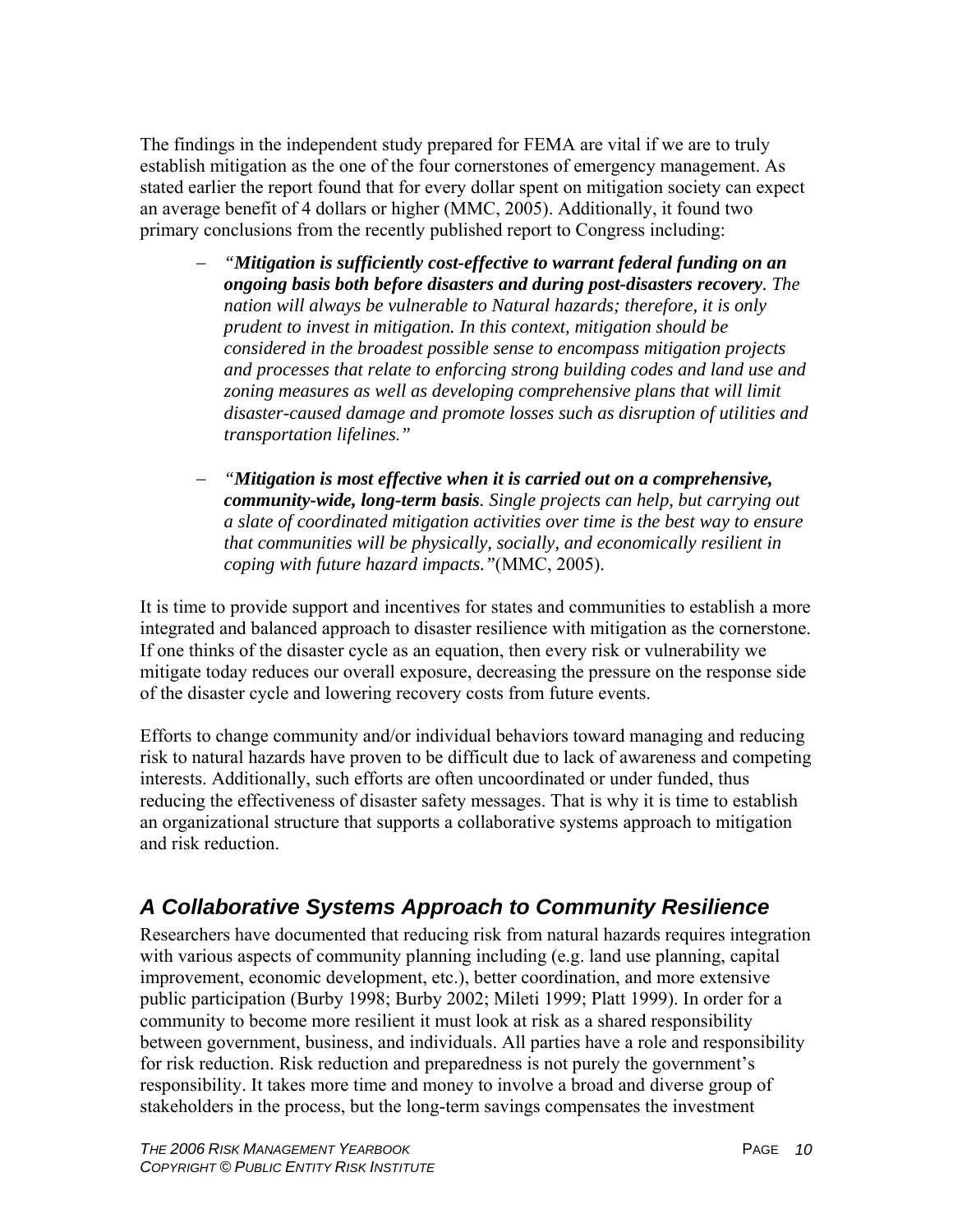The findings in the independent study prepared for FEMA are vital if we are to truly establish mitigation as the one of the four cornerstones of emergency management. As stated earlier the report found that for every dollar spent on mitigation society can expect an average benefit of 4 dollars or higher (MMC, 2005). Additionally, it found two primary conclusions from the recently published report to Congress including:

- − *"Mitigation is sufficiently cost-effective to warrant federal funding on an ongoing basis both before disasters and during post-disasters recovery. The nation will always be vulnerable to Natural hazards; therefore, it is only prudent to invest in mitigation. In this context, mitigation should be considered in the broadest possible sense to encompass mitigation projects and processes that relate to enforcing strong building codes and land use and zoning measures as well as developing comprehensive plans that will limit disaster-caused damage and promote losses such as disruption of utilities and transportation lifelines."*
- − *"Mitigation is most effective when it is carried out on a comprehensive, community-wide, long-term basis. Single projects can help, but carrying out a slate of coordinated mitigation activities over time is the best way to ensure that communities will be physically, socially, and economically resilient in coping with future hazard impacts."*(MMC, 2005).

It is time to provide support and incentives for states and communities to establish a more integrated and balanced approach to disaster resilience with mitigation as the cornerstone. If one thinks of the disaster cycle as an equation, then every risk or vulnerability we mitigate today reduces our overall exposure, decreasing the pressure on the response side of the disaster cycle and lowering recovery costs from future events.

Efforts to change community and/or individual behaviors toward managing and reducing risk to natural hazards have proven to be difficult due to lack of awareness and competing interests. Additionally, such efforts are often uncoordinated or under funded, thus reducing the effectiveness of disaster safety messages. That is why it is time to establish an organizational structure that supports a collaborative systems approach to mitigation and risk reduction.

# *A Collaborative Systems Approach to Community Resilience*

Researchers have documented that reducing risk from natural hazards requires integration with various aspects of community planning including (e.g. land use planning, capital improvement, economic development, etc.), better coordination, and more extensive public participation (Burby 1998; Burby 2002; Mileti 1999; Platt 1999). In order for a community to become more resilient it must look at risk as a shared responsibility between government, business, and individuals. All parties have a role and responsibility for risk reduction. Risk reduction and preparedness is not purely the government's responsibility. It takes more time and money to involve a broad and diverse group of stakeholders in the process, but the long-term savings compensates the investment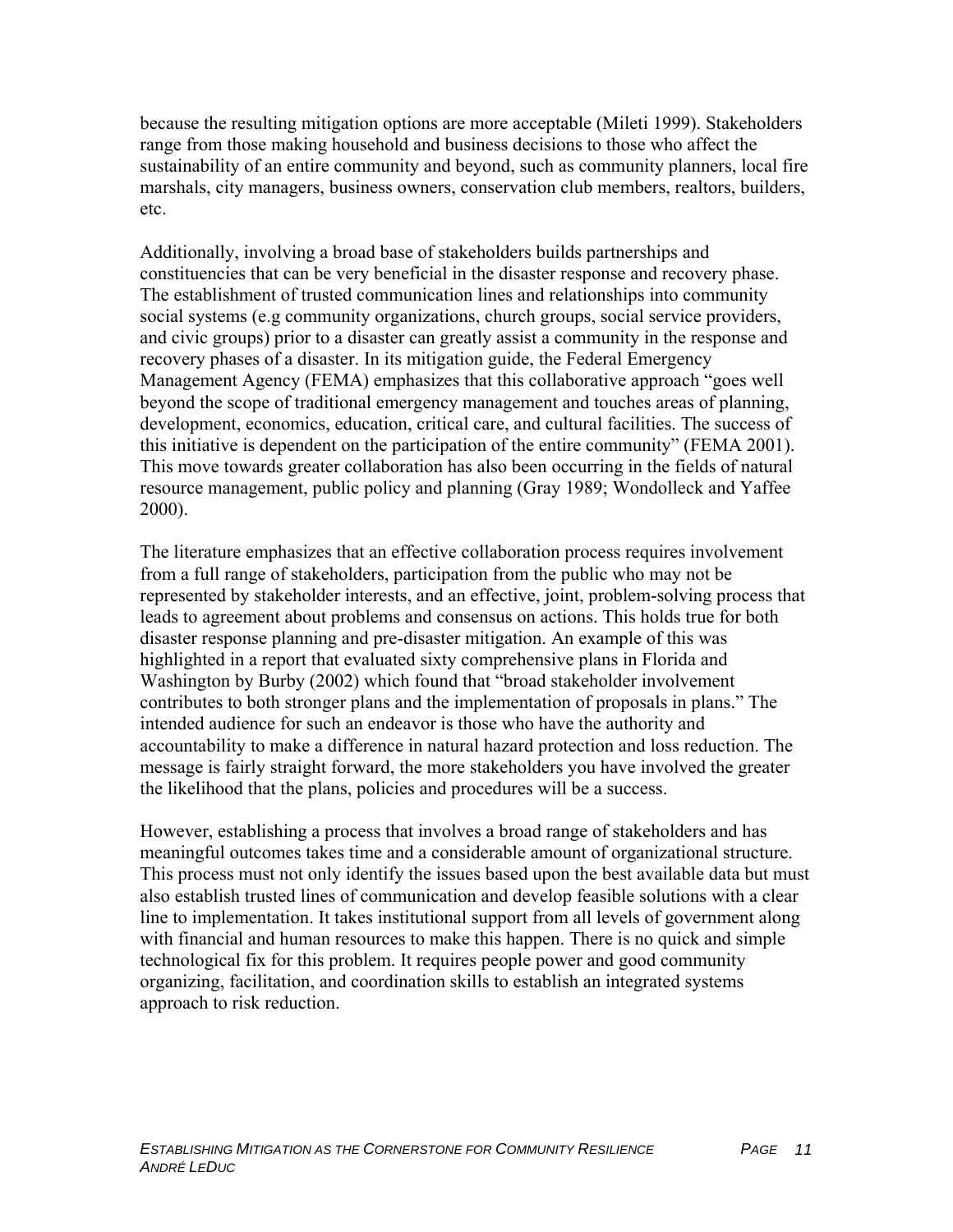because the resulting mitigation options are more acceptable (Mileti 1999). Stakeholders range from those making household and business decisions to those who affect the sustainability of an entire community and beyond, such as community planners, local fire marshals, city managers, business owners, conservation club members, realtors, builders, etc.

Additionally, involving a broad base of stakeholders builds partnerships and constituencies that can be very beneficial in the disaster response and recovery phase. The establishment of trusted communication lines and relationships into community social systems (e.g community organizations, church groups, social service providers, and civic groups) prior to a disaster can greatly assist a community in the response and recovery phases of a disaster. In its mitigation guide, the Federal Emergency Management Agency (FEMA) emphasizes that this collaborative approach "goes well beyond the scope of traditional emergency management and touches areas of planning, development, economics, education, critical care, and cultural facilities. The success of this initiative is dependent on the participation of the entire community" (FEMA 2001). This move towards greater collaboration has also been occurring in the fields of natural resource management, public policy and planning (Gray 1989; Wondolleck and Yaffee 2000).

The literature emphasizes that an effective collaboration process requires involvement from a full range of stakeholders, participation from the public who may not be represented by stakeholder interests, and an effective, joint, problem-solving process that leads to agreement about problems and consensus on actions. This holds true for both disaster response planning and pre-disaster mitigation. An example of this was highlighted in a report that evaluated sixty comprehensive plans in Florida and Washington by Burby (2002) which found that "broad stakeholder involvement contributes to both stronger plans and the implementation of proposals in plans." The intended audience for such an endeavor is those who have the authority and accountability to make a difference in natural hazard protection and loss reduction. The message is fairly straight forward, the more stakeholders you have involved the greater the likelihood that the plans, policies and procedures will be a success.

However, establishing a process that involves a broad range of stakeholders and has meaningful outcomes takes time and a considerable amount of organizational structure. This process must not only identify the issues based upon the best available data but must also establish trusted lines of communication and develop feasible solutions with a clear line to implementation. It takes institutional support from all levels of government along with financial and human resources to make this happen. There is no quick and simple technological fix for this problem. It requires people power and good community organizing, facilitation, and coordination skills to establish an integrated systems approach to risk reduction.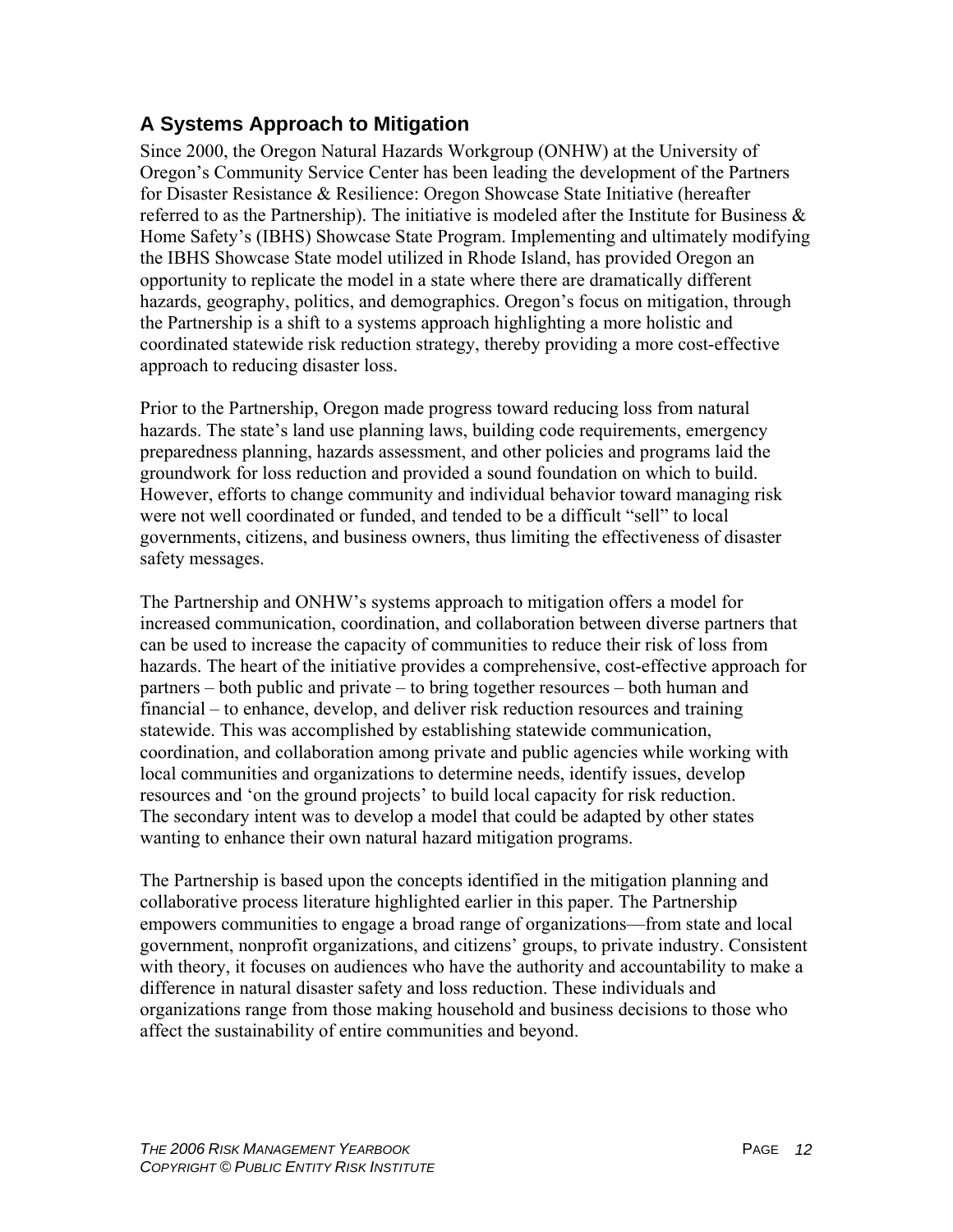# **A Systems Approach to Mitigation**

Since 2000, the Oregon Natural Hazards Workgroup (ONHW) at the University of Oregon's Community Service Center has been leading the development of the Partners for Disaster Resistance & Resilience: Oregon Showcase State Initiative (hereafter referred to as the Partnership). The initiative is modeled after the Institute for Business  $\&$ Home Safety's (IBHS) Showcase State Program. Implementing and ultimately modifying the IBHS Showcase State model utilized in Rhode Island, has provided Oregon an opportunity to replicate the model in a state where there are dramatically different hazards, geography, politics, and demographics. Oregon's focus on mitigation, through the Partnership is a shift to a systems approach highlighting a more holistic and coordinated statewide risk reduction strategy, thereby providing a more cost-effective approach to reducing disaster loss.

Prior to the Partnership, Oregon made progress toward reducing loss from natural hazards. The state's land use planning laws, building code requirements, emergency preparedness planning, hazards assessment, and other policies and programs laid the groundwork for loss reduction and provided a sound foundation on which to build. However, efforts to change community and individual behavior toward managing risk were not well coordinated or funded, and tended to be a difficult "sell" to local governments, citizens, and business owners, thus limiting the effectiveness of disaster safety messages.

The Partnership and ONHW's systems approach to mitigation offers a model for increased communication, coordination, and collaboration between diverse partners that can be used to increase the capacity of communities to reduce their risk of loss from hazards. The heart of the initiative provides a comprehensive, cost-effective approach for partners – both public and private – to bring together resources – both human and financial – to enhance, develop, and deliver risk reduction resources and training statewide. This was accomplished by establishing statewide communication, coordination, and collaboration among private and public agencies while working with local communities and organizations to determine needs, identify issues, develop resources and 'on the ground projects' to build local capacity for risk reduction. The secondary intent was to develop a model that could be adapted by other states wanting to enhance their own natural hazard mitigation programs.

The Partnership is based upon the concepts identified in the mitigation planning and collaborative process literature highlighted earlier in this paper. The Partnership empowers communities to engage a broad range of organizations—from state and local government, nonprofit organizations, and citizens' groups, to private industry. Consistent with theory, it focuses on audiences who have the authority and accountability to make a difference in natural disaster safety and loss reduction. These individuals and organizations range from those making household and business decisions to those who affect the sustainability of entire communities and beyond.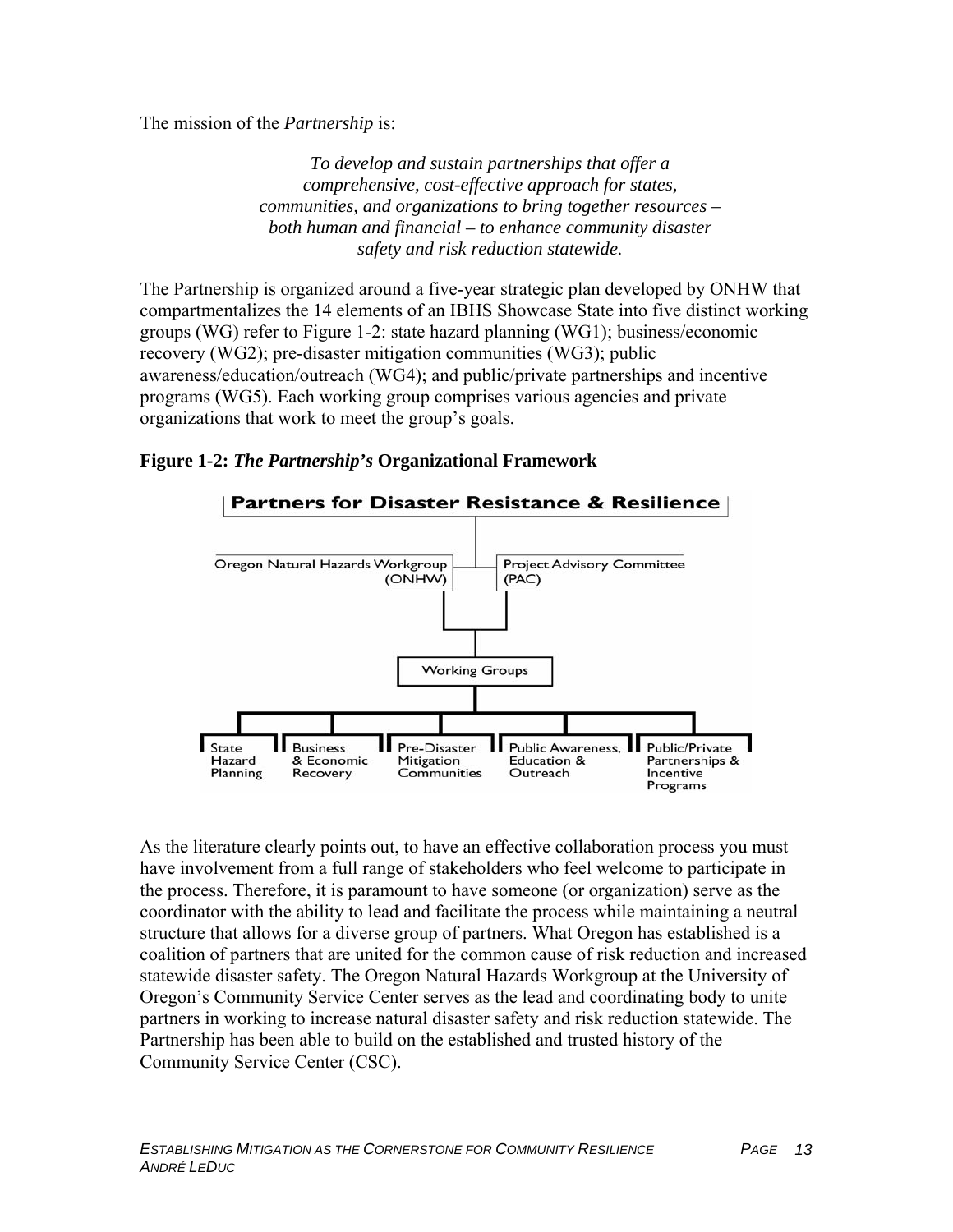The mission of the *Partnership* is:

*To develop and sustain partnerships that offer a comprehensive, cost-effective approach for states, communities, and organizations to bring together resources – both human and financial – to enhance community disaster safety and risk reduction statewide.*

The Partnership is organized around a five-year strategic plan developed by ONHW that compartmentalizes the 14 elements of an IBHS Showcase State into five distinct working groups (WG) refer to Figure 1-2: state hazard planning (WG1); business/economic recovery (WG2); pre-disaster mitigation communities (WG3); public awareness/education/outreach (WG4); and public/private partnerships and incentive programs (WG5). Each working group comprises various agencies and private organizations that work to meet the group's goals.

#### **Figure 1-2:** *The Partnership's* **Organizational Framework**



As the literature clearly points out, to have an effective collaboration process you must have involvement from a full range of stakeholders who feel welcome to participate in the process. Therefore, it is paramount to have someone (or organization) serve as the coordinator with the ability to lead and facilitate the process while maintaining a neutral structure that allows for a diverse group of partners. What Oregon has established is a coalition of partners that are united for the common cause of risk reduction and increased statewide disaster safety. The Oregon Natural Hazards Workgroup at the University of Oregon's Community Service Center serves as the lead and coordinating body to unite partners in working to increase natural disaster safety and risk reduction statewide. The Partnership has been able to build on the established and trusted history of the Community Service Center (CSC).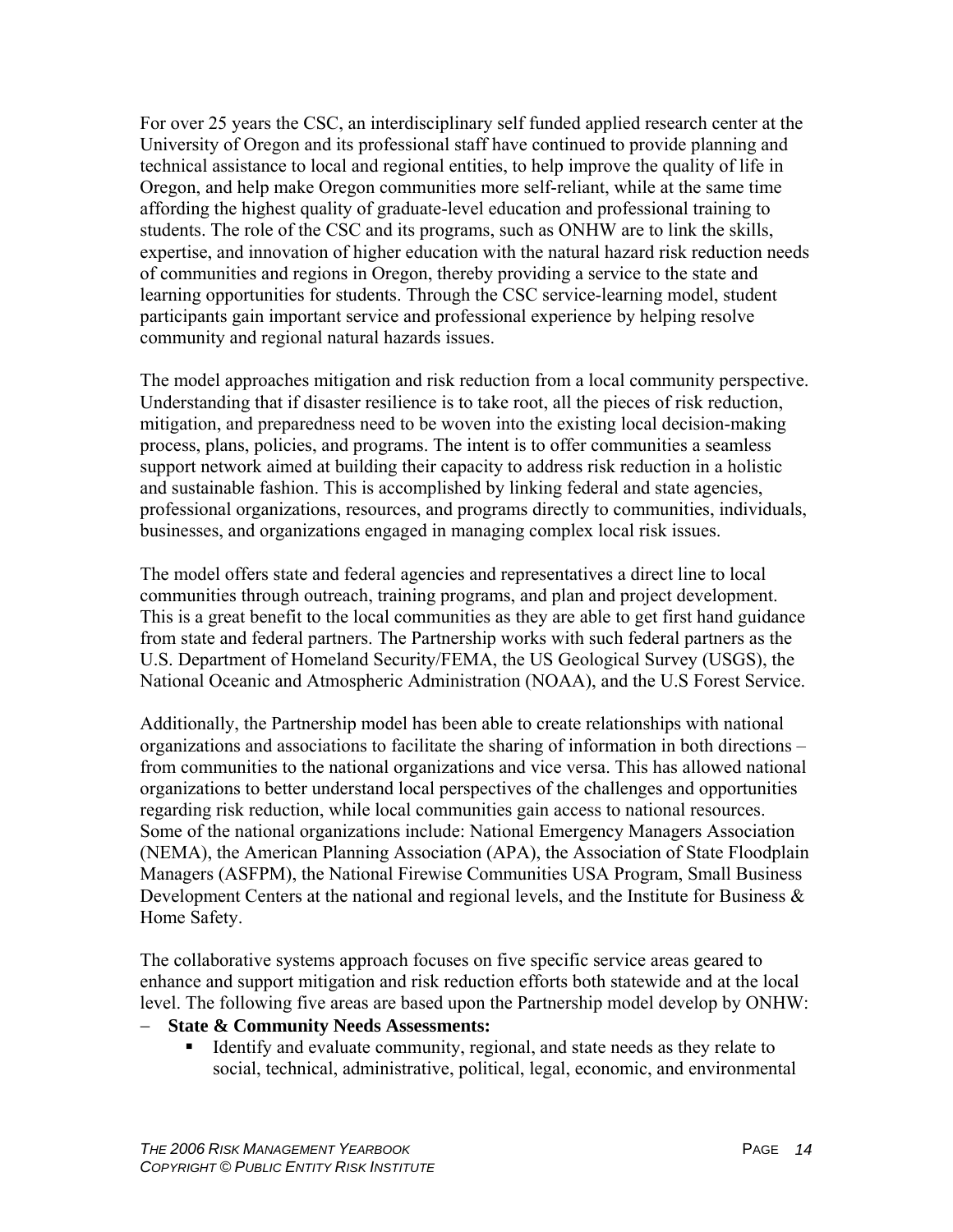For over 25 years the CSC, an interdisciplinary self funded applied research center at the University of Oregon and its professional staff have continued to provide planning and technical assistance to local and regional entities, to help improve the quality of life in Oregon, and help make Oregon communities more self-reliant, while at the same time affording the highest quality of graduate-level education and professional training to students. The role of the CSC and its programs, such as ONHW are to link the skills, expertise, and innovation of higher education with the natural hazard risk reduction needs of communities and regions in Oregon, thereby providing a service to the state and learning opportunities for students. Through the CSC service-learning model, student participants gain important service and professional experience by helping resolve community and regional natural hazards issues.

The model approaches mitigation and risk reduction from a local community perspective. Understanding that if disaster resilience is to take root, all the pieces of risk reduction, mitigation, and preparedness need to be woven into the existing local decision-making process, plans, policies, and programs. The intent is to offer communities a seamless support network aimed at building their capacity to address risk reduction in a holistic and sustainable fashion. This is accomplished by linking federal and state agencies, professional organizations, resources, and programs directly to communities, individuals, businesses, and organizations engaged in managing complex local risk issues.

The model offers state and federal agencies and representatives a direct line to local communities through outreach, training programs, and plan and project development. This is a great benefit to the local communities as they are able to get first hand guidance from state and federal partners. The Partnership works with such federal partners as the U.S. Department of Homeland Security/FEMA, the US Geological Survey (USGS), the National Oceanic and Atmospheric Administration (NOAA), and the U.S Forest Service.

Additionally, the Partnership model has been able to create relationships with national organizations and associations to facilitate the sharing of information in both directions – from communities to the national organizations and vice versa. This has allowed national organizations to better understand local perspectives of the challenges and opportunities regarding risk reduction, while local communities gain access to national resources. Some of the national organizations include: National Emergency Managers Association (NEMA), the American Planning Association (APA), the Association of State Floodplain Managers (ASFPM), the National Firewise Communities USA Program, Small Business Development Centers at the national and regional levels, and the Institute for Business  $\&$ Home Safety.

The collaborative systems approach focuses on five specific service areas geared to enhance and support mitigation and risk reduction efforts both statewide and at the local level. The following five areas are based upon the Partnership model develop by ONHW:

#### − **State & Community Needs Assessments:**

 Identify and evaluate community, regional, and state needs as they relate to social, technical, administrative, political, legal, economic, and environmental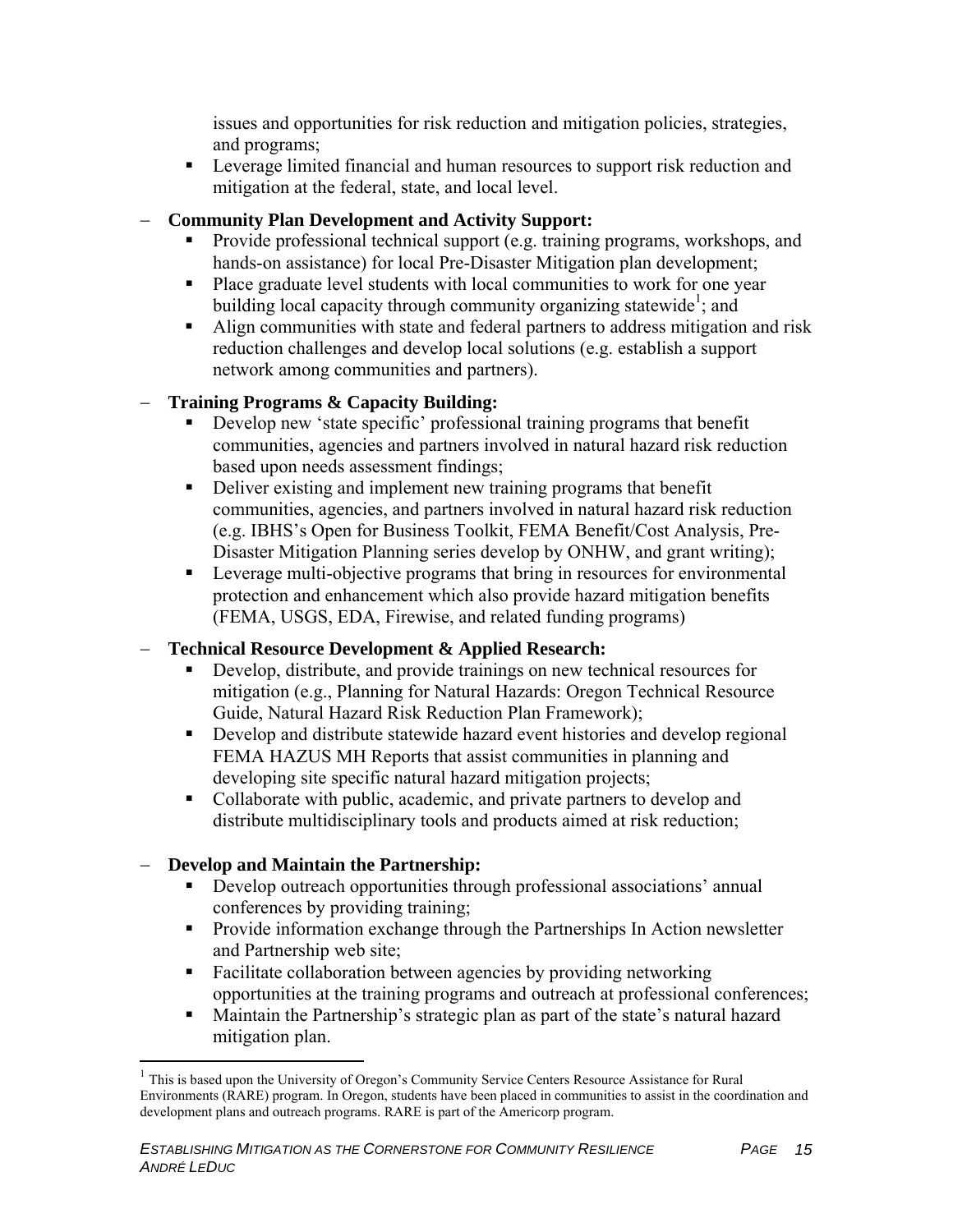issues and opportunities for risk reduction and mitigation policies, strategies, and programs;

**EXECUTE:** Leverage limited financial and human resources to support risk reduction and mitigation at the federal, state, and local level.

#### − **Community Plan Development and Activity Support:**

- Provide professional technical support (e.g. training programs, workshops, and hands-on assistance) for local Pre-Disaster Mitigation plan development;
- Place graduate level students with local communities to work for one year building local capacity through community organizing statewide<sup>1</sup>; and
- Align communities with state and federal partners to address mitigation and risk reduction challenges and develop local solutions (e.g. establish a support network among communities and partners).

#### − **Training Programs & Capacity Building:**

- Develop new 'state specific' professional training programs that benefit communities, agencies and partners involved in natural hazard risk reduction based upon needs assessment findings;
- Deliver existing and implement new training programs that benefit communities, agencies, and partners involved in natural hazard risk reduction (e.g. IBHS's Open for Business Toolkit, FEMA Benefit/Cost Analysis, Pre-Disaster Mitigation Planning series develop by ONHW, and grant writing);
- **Leverage multi-objective programs that bring in resources for environmental** protection and enhancement which also provide hazard mitigation benefits (FEMA, USGS, EDA, Firewise, and related funding programs)

#### − **Technical Resource Development & Applied Research:**

- Develop, distribute, and provide trainings on new technical resources for mitigation (e.g., Planning for Natural Hazards: Oregon Technical Resource Guide, Natural Hazard Risk Reduction Plan Framework);
- Develop and distribute statewide hazard event histories and develop regional FEMA HAZUS MH Reports that assist communities in planning and developing site specific natural hazard mitigation projects;
- Collaborate with public, academic, and private partners to develop and distribute multidisciplinary tools and products aimed at risk reduction;

#### − **Develop and Maintain the Partnership:**

 $\overline{a}$ 

- Develop outreach opportunities through professional associations' annual conferences by providing training;
- **Provide information exchange through the Partnerships In Action newsletter** and Partnership web site;
- Facilitate collaboration between agencies by providing networking opportunities at the training programs and outreach at professional conferences;
- Maintain the Partnership's strategic plan as part of the state's natural hazard mitigation plan.

<sup>&</sup>lt;sup>1</sup> This is based upon the University of Oregon's Community Service Centers Resource Assistance for Rural Environments (RARE) program. In Oregon, students have been placed in communities to assist in the coordination and development plans and outreach programs. RARE is part of the Americorp program.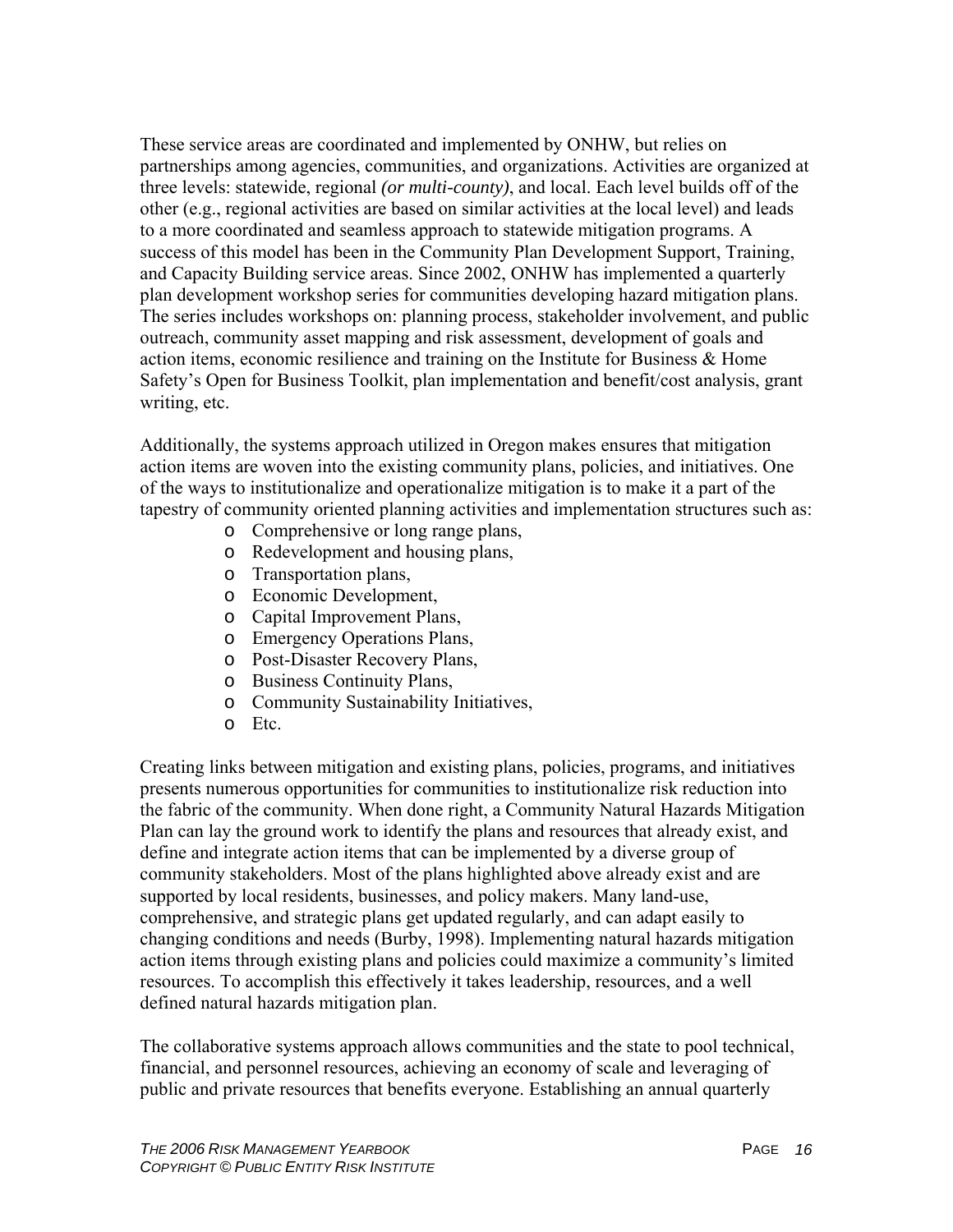These service areas are coordinated and implemented by ONHW, but relies on partnerships among agencies, communities, and organizations. Activities are organized at three levels: statewide, regional *(or multi-county)*, and local. Each level builds off of the other (e.g., regional activities are based on similar activities at the local level) and leads to a more coordinated and seamless approach to statewide mitigation programs. A success of this model has been in the Community Plan Development Support, Training, and Capacity Building service areas. Since 2002, ONHW has implemented a quarterly plan development workshop series for communities developing hazard mitigation plans. The series includes workshops on: planning process, stakeholder involvement, and public outreach, community asset mapping and risk assessment, development of goals and action items, economic resilience and training on the Institute for Business & Home Safety's Open for Business Toolkit, plan implementation and benefit/cost analysis, grant writing, etc.

Additionally, the systems approach utilized in Oregon makes ensures that mitigation action items are woven into the existing community plans, policies, and initiatives. One of the ways to institutionalize and operationalize mitigation is to make it a part of the tapestry of community oriented planning activities and implementation structures such as:

- o Comprehensive or long range plans,
- o Redevelopment and housing plans,
- o Transportation plans,
- o Economic Development,
- o Capital Improvement Plans,
- o Emergency Operations Plans,
- o Post-Disaster Recovery Plans,
- o Business Continuity Plans,
- o Community Sustainability Initiatives,
- o Etc.

Creating links between mitigation and existing plans, policies, programs, and initiatives presents numerous opportunities for communities to institutionalize risk reduction into the fabric of the community. When done right, a Community Natural Hazards Mitigation Plan can lay the ground work to identify the plans and resources that already exist, and define and integrate action items that can be implemented by a diverse group of community stakeholders. Most of the plans highlighted above already exist and are supported by local residents, businesses, and policy makers. Many land-use, comprehensive, and strategic plans get updated regularly, and can adapt easily to changing conditions and needs (Burby, 1998). Implementing natural hazards mitigation action items through existing plans and policies could maximize a community's limited resources. To accomplish this effectively it takes leadership, resources, and a well defined natural hazards mitigation plan.

The collaborative systems approach allows communities and the state to pool technical, financial, and personnel resources, achieving an economy of scale and leveraging of public and private resources that benefits everyone. Establishing an annual quarterly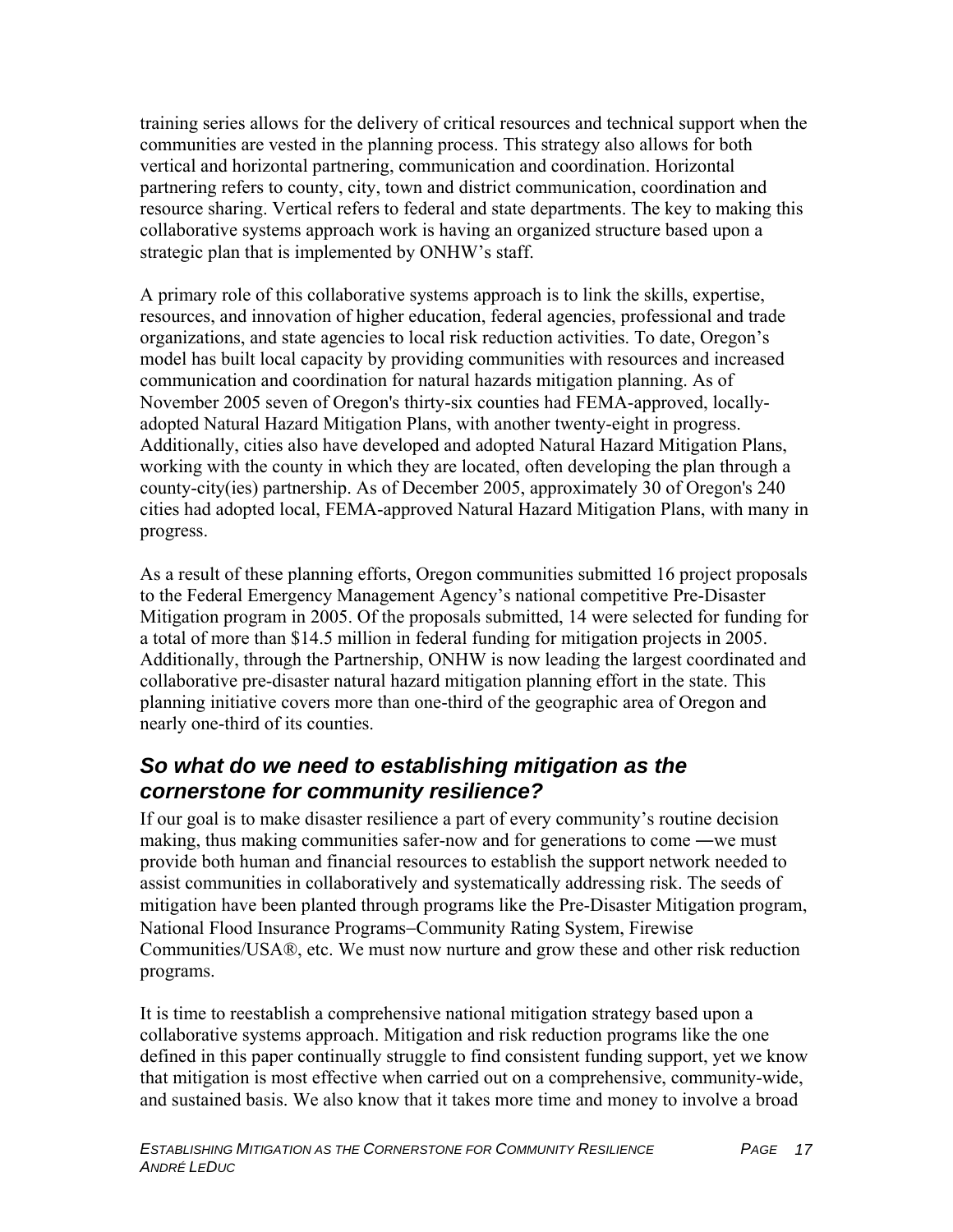training series allows for the delivery of critical resources and technical support when the communities are vested in the planning process. This strategy also allows for both vertical and horizontal partnering, communication and coordination. Horizontal partnering refers to county, city, town and district communication, coordination and resource sharing. Vertical refers to federal and state departments. The key to making this collaborative systems approach work is having an organized structure based upon a strategic plan that is implemented by ONHW's staff.

A primary role of this collaborative systems approach is to link the skills, expertise, resources, and innovation of higher education, federal agencies, professional and trade organizations, and state agencies to local risk reduction activities. To date, Oregon's model has built local capacity by providing communities with resources and increased communication and coordination for natural hazards mitigation planning. As of November 2005 seven of Oregon's thirty-six counties had FEMA-approved, locallyadopted Natural Hazard Mitigation Plans, with another twenty-eight in progress. Additionally, cities also have developed and adopted Natural Hazard Mitigation Plans, working with the county in which they are located, often developing the plan through a county-city(ies) partnership. As of December 2005, approximately 30 of Oregon's 240 cities had adopted local, FEMA-approved Natural Hazard Mitigation Plans, with many in progress.

As a result of these planning efforts, Oregon communities submitted 16 project proposals to the Federal Emergency Management Agency's national competitive Pre-Disaster Mitigation program in 2005. Of the proposals submitted, 14 were selected for funding for a total of more than \$14.5 million in federal funding for mitigation projects in 2005. Additionally, through the Partnership, ONHW is now leading the largest coordinated and collaborative pre-disaster natural hazard mitigation planning effort in the state. This planning initiative covers more than one-third of the geographic area of Oregon and nearly one-third of its counties.

# *So what do we need to establishing mitigation as the cornerstone for community resilience?*

If our goal is to make disaster resilience a part of every community's routine decision making, thus making communities safer-now and for generations to come ―we must provide both human and financial resources to establish the support network needed to assist communities in collaboratively and systematically addressing risk. The seeds of mitigation have been planted through programs like the Pre-Disaster Mitigation program, National Flood Insurance Programs−Community Rating System, Firewise Communities/USA®, etc. We must now nurture and grow these and other risk reduction programs.

It is time to reestablish a comprehensive national mitigation strategy based upon a collaborative systems approach. Mitigation and risk reduction programs like the one defined in this paper continually struggle to find consistent funding support, yet we know that mitigation is most effective when carried out on a comprehensive, community-wide, and sustained basis. We also know that it takes more time and money to involve a broad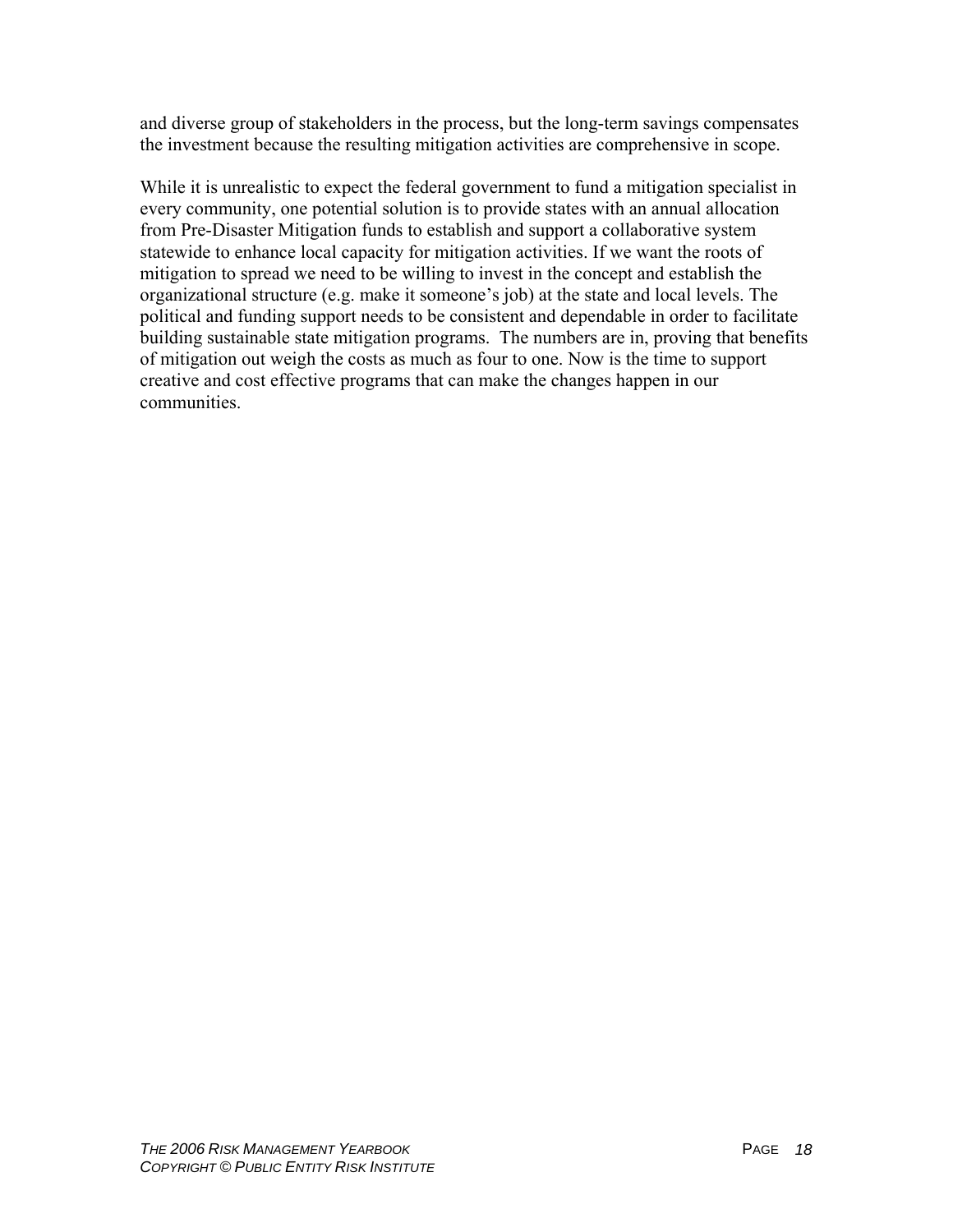and diverse group of stakeholders in the process, but the long-term savings compensates the investment because the resulting mitigation activities are comprehensive in scope.

While it is unrealistic to expect the federal government to fund a mitigation specialist in every community, one potential solution is to provide states with an annual allocation from Pre-Disaster Mitigation funds to establish and support a collaborative system statewide to enhance local capacity for mitigation activities. If we want the roots of mitigation to spread we need to be willing to invest in the concept and establish the organizational structure (e.g. make it someone's job) at the state and local levels. The political and funding support needs to be consistent and dependable in order to facilitate building sustainable state mitigation programs. The numbers are in, proving that benefits of mitigation out weigh the costs as much as four to one. Now is the time to support creative and cost effective programs that can make the changes happen in our communities.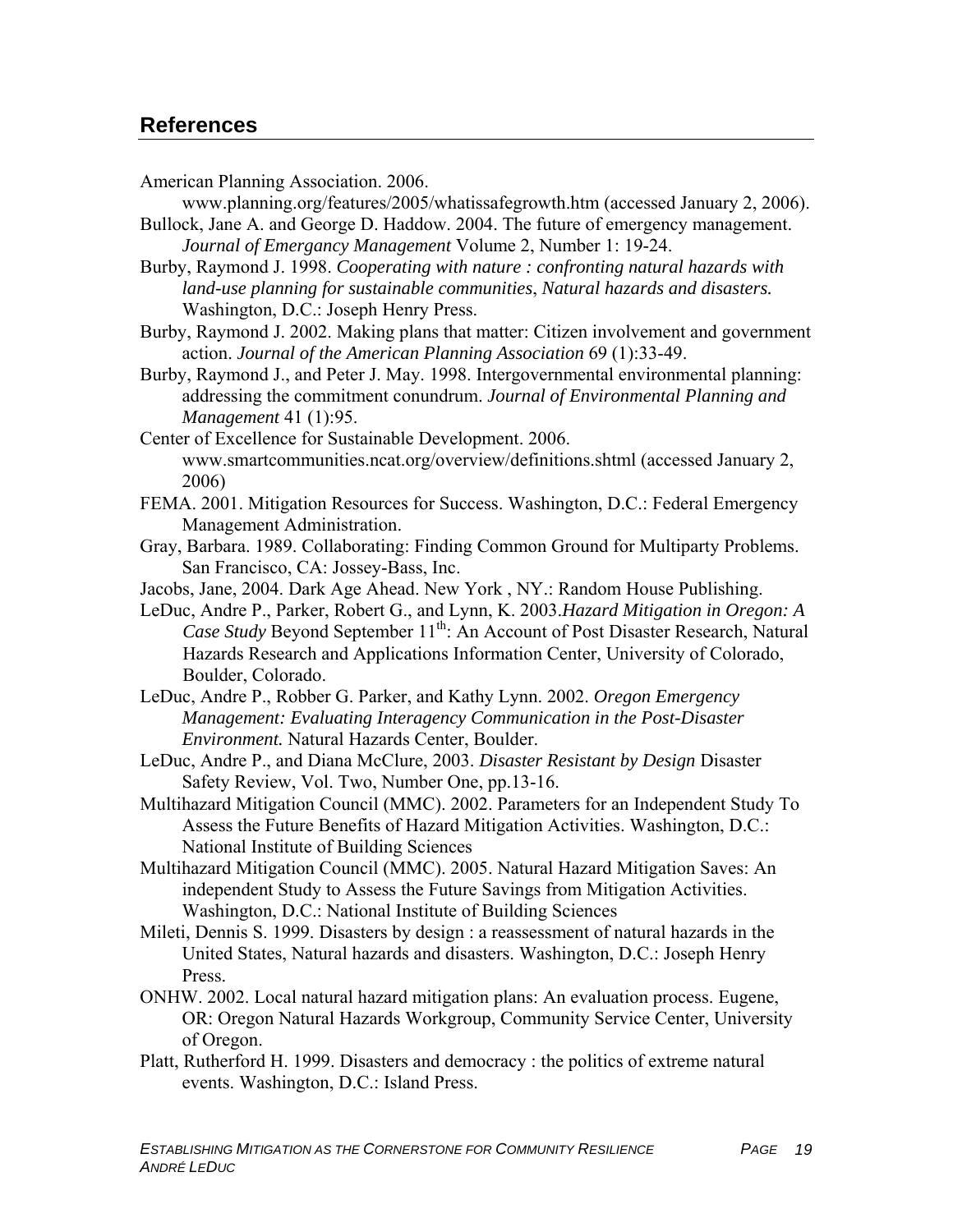### **References**

American Planning Association. 2006.

www.planning.org/features/2005/whatissafegrowth.htm (accessed January 2, 2006). Bullock, Jane A. and George D. Haddow. 2004. The future of emergency management.

*Journal of Emergancy Management* Volume 2, Number 1: 19-24. Burby, Raymond J. 1998. *Cooperating with nature : confronting natural hazards with* 

*land-use planning for sustainable communities*, *Natural hazards and disasters.* Washington, D.C.: Joseph Henry Press.

Burby, Raymond J. 2002. Making plans that matter: Citizen involvement and government action. *Journal of the American Planning Association* 69 (1):33-49.

Burby, Raymond J., and Peter J. May. 1998. Intergovernmental environmental planning: addressing the commitment conundrum. *Journal of Environmental Planning and Management* 41 (1):95.

- Center of Excellence for Sustainable Development. 2006. www.smartcommunities.ncat.org/overview/definitions.shtml (accessed January 2, 2006)
- FEMA. 2001. Mitigation Resources for Success. Washington, D.C.: Federal Emergency Management Administration.
- Gray, Barbara. 1989. Collaborating: Finding Common Ground for Multiparty Problems. San Francisco, CA: Jossey-Bass, Inc.
- Jacobs, Jane, 2004. Dark Age Ahead. New York , NY.: Random House Publishing.
- LeDuc, Andre P., Parker, Robert G., and Lynn, K. 2003.*Hazard Mitigation in Oregon: A Case Study Beyond September* 11<sup>th</sup>: An Account of Post Disaster Research, Natural Hazards Research and Applications Information Center, University of Colorado, Boulder, Colorado.
- LeDuc, Andre P., Robber G. Parker, and Kathy Lynn. 2002. *Oregon Emergency Management: Evaluating Interagency Communication in the Post-Disaster Environment.* Natural Hazards Center, Boulder.
- LeDuc, Andre P., and Diana McClure, 2003. *Disaster Resistant by Design* Disaster Safety Review, Vol. Two, Number One, pp.13-16.

Multihazard Mitigation Council (MMC). 2002. Parameters for an Independent Study To Assess the Future Benefits of Hazard Mitigation Activities. Washington, D.C.: National Institute of Building Sciences

Multihazard Mitigation Council (MMC). 2005. Natural Hazard Mitigation Saves: An independent Study to Assess the Future Savings from Mitigation Activities. Washington, D.C.: National Institute of Building Sciences

- Mileti, Dennis S. 1999. Disasters by design : a reassessment of natural hazards in the United States, Natural hazards and disasters. Washington, D.C.: Joseph Henry Press.
- ONHW. 2002. Local natural hazard mitigation plans: An evaluation process. Eugene, OR: Oregon Natural Hazards Workgroup, Community Service Center, University of Oregon.
- Platt, Rutherford H. 1999. Disasters and democracy : the politics of extreme natural events. Washington, D.C.: Island Press.